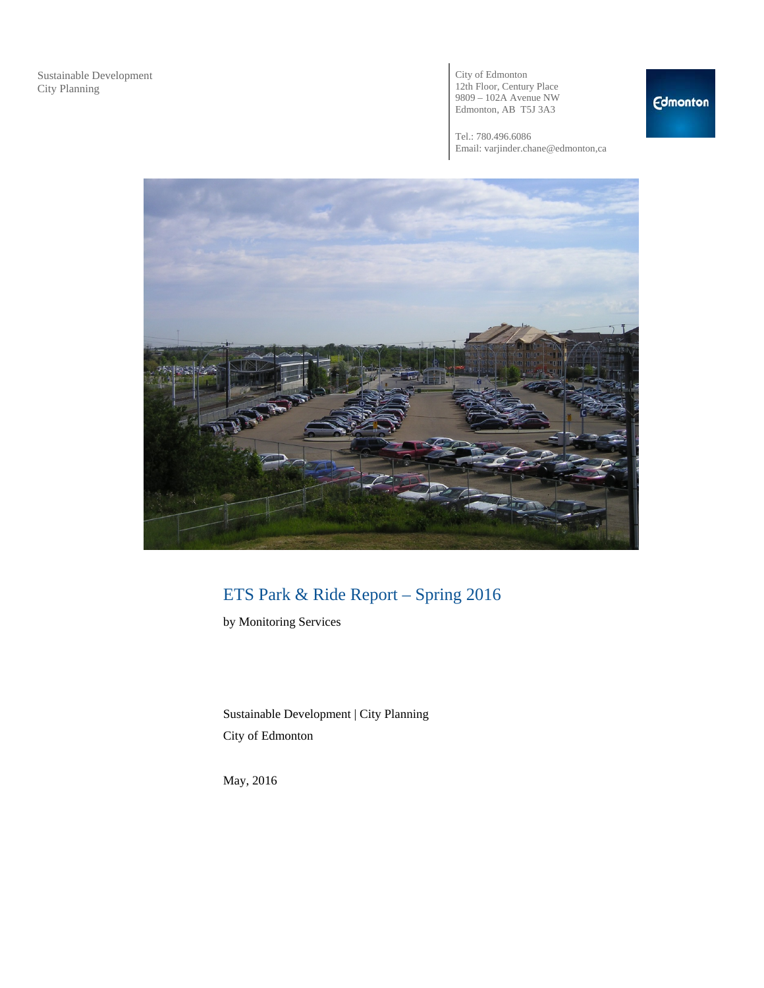City of Edmonton 12th Floor, Century Place 9809 – 102A Avenue NW Edmonton, AB T5J 3A3

Tel.: 780.496.6086 Email: varjinder.chane@edmonton,ca



# ETS Park & Ride Report – Spring 2016

by Monitoring Services

Sustainable Development | City Planning City of Edmonton

May, 2016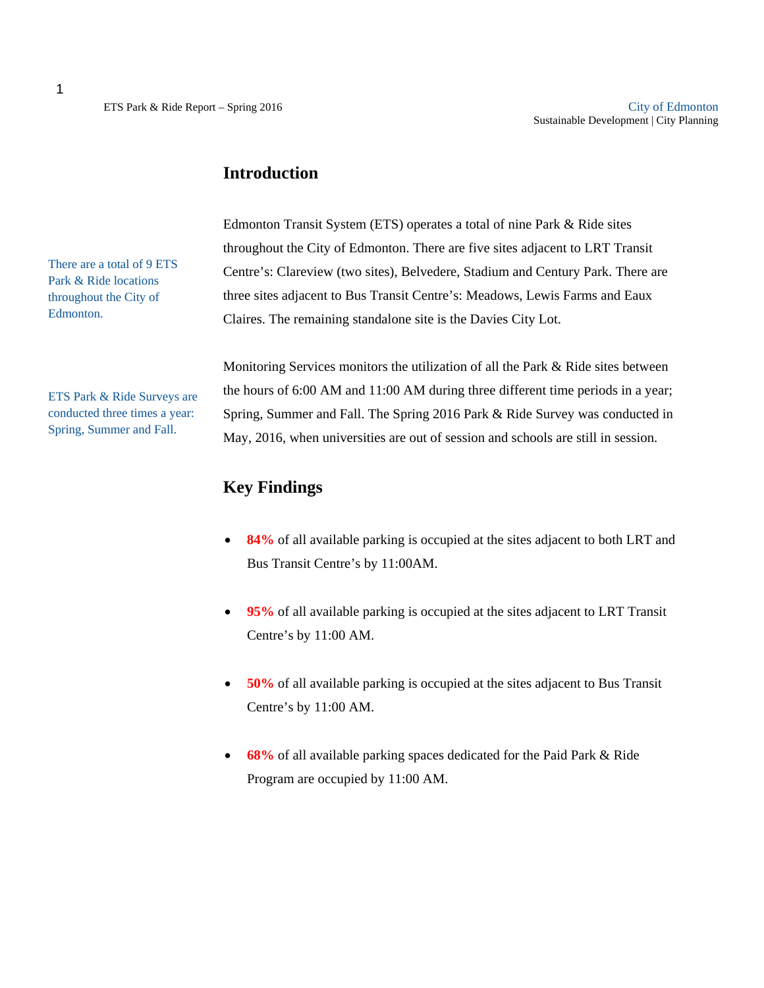### **Introduction**

Edmonton Transit System (ETS) operates a total of nine Park & Ride sites throughout the City of Edmonton. There are five sites adjacent to LRT Transit Centre's: Clareview (two sites), Belvedere, Stadium and Century Park. There are three sites adjacent to Bus Transit Centre's: Meadows, Lewis Farms and Eaux Claires. The remaining standalone site is the Davies City Lot.

Monitoring Services monitors the utilization of all the Park & Ride sites between

the hours of 6:00 AM and 11:00 AM during three different time periods in a year; Spring, Summer and Fall. The Spring 2016 Park & Ride Survey was conducted in May, 2016, when universities are out of session and schools are still in session.

### **Key Findings**

- **84%** of all available parking is occupied at the sites adjacent to both LRT and Bus Transit Centre's by 11:00AM.
- **95%** of all available parking is occupied at the sites adjacent to LRT Transit Centre's by 11:00 AM.
- **50%** of all available parking is occupied at the sites adjacent to Bus Transit Centre's by 11:00 AM.
- **68%** of all available parking spaces dedicated for the Paid Park & Ride Program are occupied by 11:00 AM.

There are a total of 9 ETS Park & Ride locations throughout the City of Edmonton.

ETS Park & Ride Surveys are conducted three times a year: Spring, Summer and Fall.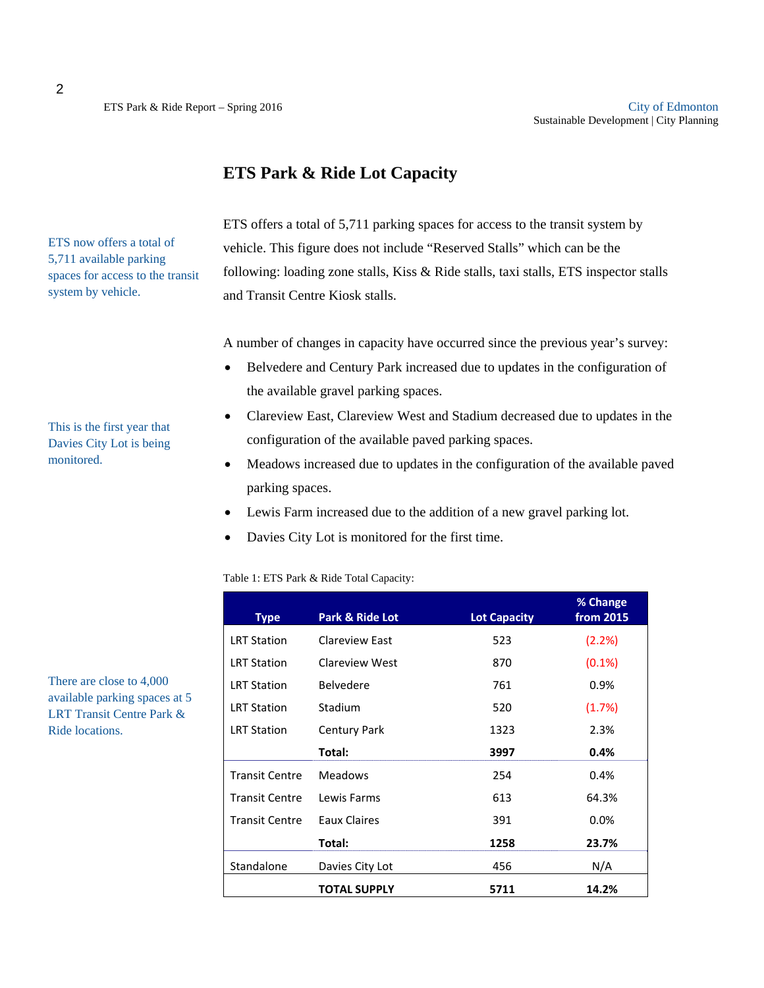## **ETS Park & Ride Lot Capacity**

ETS offers a total of 5,711 parking spaces for access to the transit system by vehicle. This figure does not include "Reserved Stalls" which can be the following: loading zone stalls, Kiss & Ride stalls, taxi stalls, ETS inspector stalls and Transit Centre Kiosk stalls.

A number of changes in capacity have occurred since the previous year's survey:

- Belvedere and Century Park increased due to updates in the configuration of the available gravel parking spaces.
- Clareview East, Clareview West and Stadium decreased due to updates in the configuration of the available paved parking spaces.
- Meadows increased due to updates in the configuration of the available paved parking spaces.
- Lewis Farm increased due to the addition of a new gravel parking lot.
- Davies City Lot is monitored for the first time.

Table 1: ETS Park & Ride Total Capacity:

| <b>Type</b>           | <b>Park &amp; Ride Lot</b> | <b>Lot Capacity</b> | % Change<br>from 2015 |
|-----------------------|----------------------------|---------------------|-----------------------|
| <b>LRT Station</b>    | Clareview East             | 523                 | (2.2%)                |
| <b>LRT Station</b>    | Clareview West             | 870                 | $(0.1\%)$             |
| <b>LRT Station</b>    | <b>Belvedere</b>           | 761                 | $0.9\%$               |
| <b>LRT Station</b>    | Stadium                    | 520                 | (1.7%)                |
| <b>LRT Station</b>    | <b>Century Park</b>        | 1323                | 2.3%                  |
|                       | Total:                     | 3997                | 0.4%                  |
| <b>Transit Centre</b> | <b>Meadows</b>             | 254                 | 0.4%                  |
| <b>Transit Centre</b> | Lewis Farms                | 613                 | 64.3%                 |
| <b>Transit Centre</b> | Eaux Claires               | 391                 | 0.0%                  |
|                       | Total:                     | 1258                | 23.7%                 |
| Standalone            | Davies City Lot            | 456                 | N/A                   |
|                       | <b>TOTAL SUPPLY</b>        | 5711                | 14.2%                 |

There are close to 4,000 available parking spaces at 5 LRT Transit Centre Park & Ride locations.

This is the first year that Davies City Lot is being monitored.

ETS now offers a total of 5,711 available parking spaces for access to the transit

system by vehicle.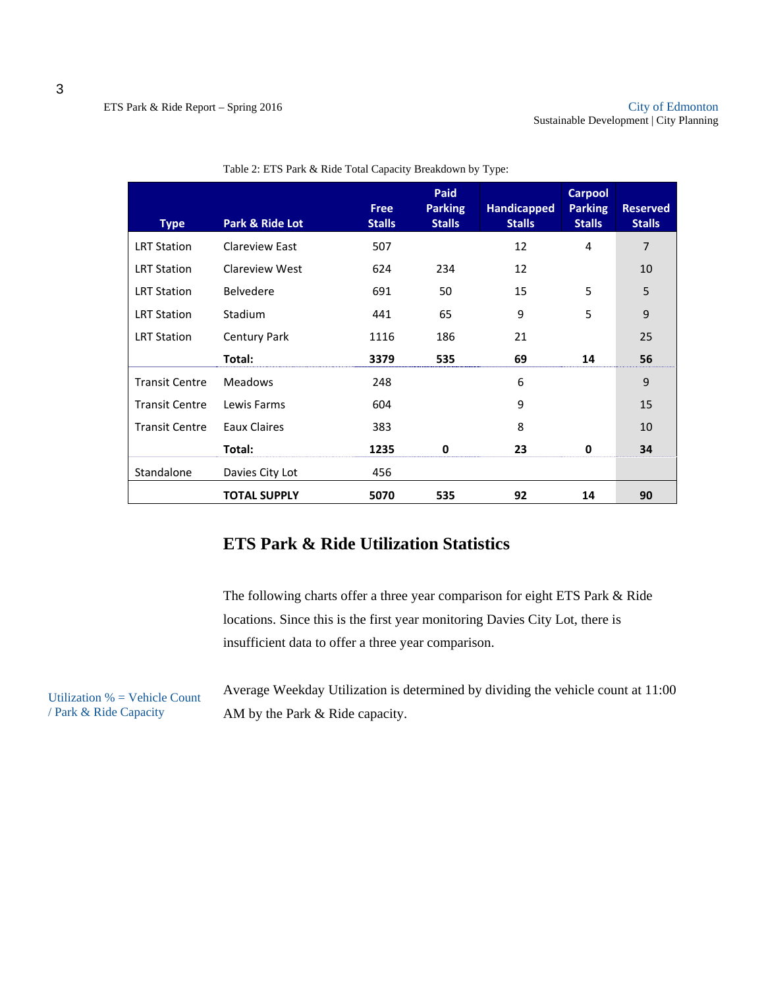| <b>Type</b>           | Park & Ride Lot       | <b>Free</b><br><b>Stalls</b> | Paid<br><b>Parking</b><br><b>Stalls</b> | <b>Handicapped</b><br><b>Stalls</b> | <b>Carpool</b><br><b>Parking</b><br><b>Stalls</b> | <b>Reserved</b><br><b>Stalls</b> |
|-----------------------|-----------------------|------------------------------|-----------------------------------------|-------------------------------------|---------------------------------------------------|----------------------------------|
| <b>LRT Station</b>    | <b>Clareview East</b> | 507                          |                                         | 12                                  | 4                                                 | 7                                |
| <b>LRT Station</b>    | Clareview West        | 624                          | 234                                     | 12                                  |                                                   | 10                               |
| <b>LRT Station</b>    | <b>Belvedere</b>      | 691                          | 50                                      | 15                                  | 5                                                 | 5                                |
| <b>LRT Station</b>    | Stadium               | 441                          | 65                                      | 9                                   | 5                                                 | 9                                |
| <b>LRT Station</b>    | <b>Century Park</b>   | 1116                         | 186                                     | 21                                  |                                                   | 25                               |
|                       | Total:                | 3379                         | 535                                     | 69                                  | 14                                                | 56                               |
| <b>Transit Centre</b> | <b>Meadows</b>        | 248                          |                                         | 6                                   |                                                   | 9                                |
| <b>Transit Centre</b> | Lewis Farms           | 604                          |                                         | 9                                   |                                                   | 15                               |
| <b>Transit Centre</b> | Eaux Claires          | 383                          |                                         | 8                                   |                                                   | 10                               |
|                       | Total:                | 1235                         | 0                                       | 23                                  | 0                                                 | 34                               |
| Standalone            | Davies City Lot       | 456                          |                                         |                                     |                                                   |                                  |
|                       | <b>TOTAL SUPPLY</b>   | 5070                         | 535                                     | 92                                  | 14                                                | 90                               |

|  | Table 2: ETS Park & Ride Total Capacity Breakdown by Type: |
|--|------------------------------------------------------------|
|--|------------------------------------------------------------|

# **ETS Park & Ride Utilization Statistics**

The following charts offer a three year comparison for eight ETS Park & Ride locations. Since this is the first year monitoring Davies City Lot, there is insufficient data to offer a three year comparison.

Utilization % = Vehicle Count / Park & Ride Capacity

Average Weekday Utilization is determined by dividing the vehicle count at 11:00 AM by the Park & Ride capacity.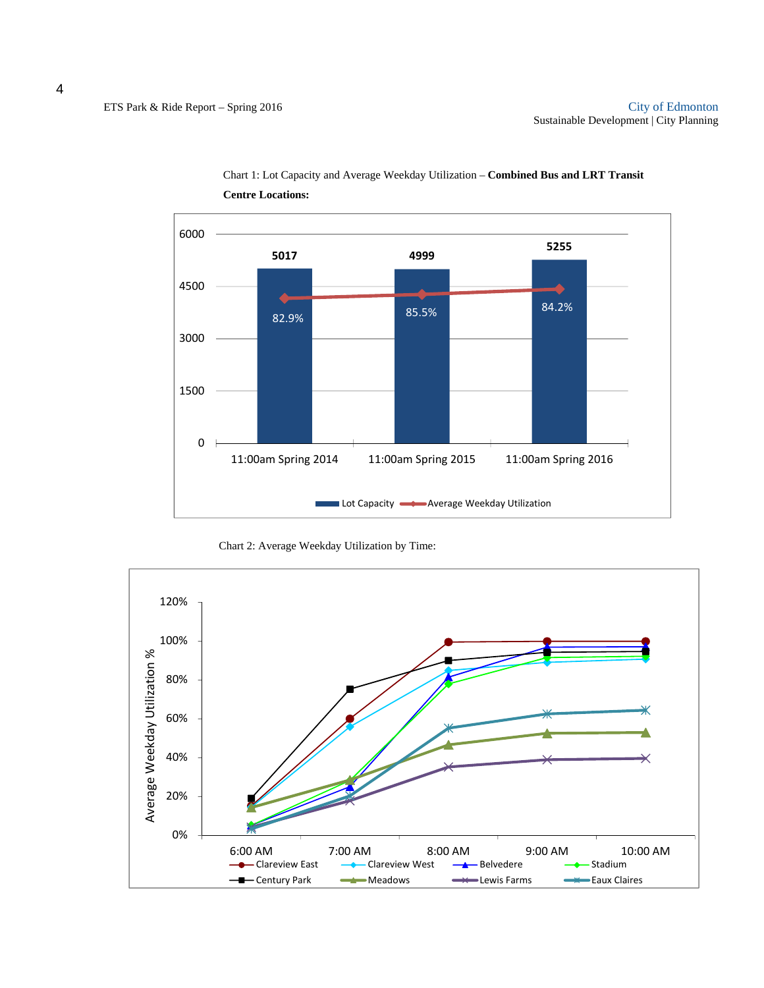

Chart 1: Lot Capacity and Average Weekday Utilization – **Combined Bus and LRT Transit Centre Locations:**

Chart 2: Average Weekday Utilization by Time:

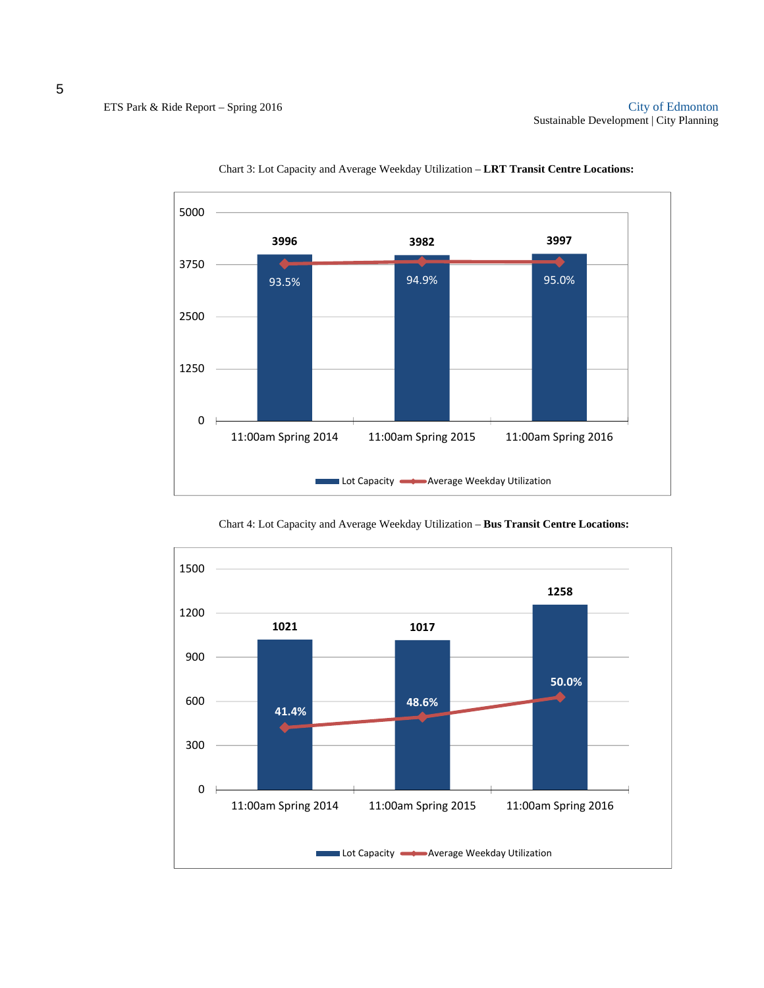



**1021 1017 1258** 0 300 600 900 1200 1500 11:00am Spring 2014 11:00am Spring 2015 11:00am Spring 2016 Lot Capacity **Average Weekday Utilization 41.4% 48.6% 50.0%**

Chart 4: Lot Capacity and Average Weekday Utilization – **Bus Transit Centre Locations:**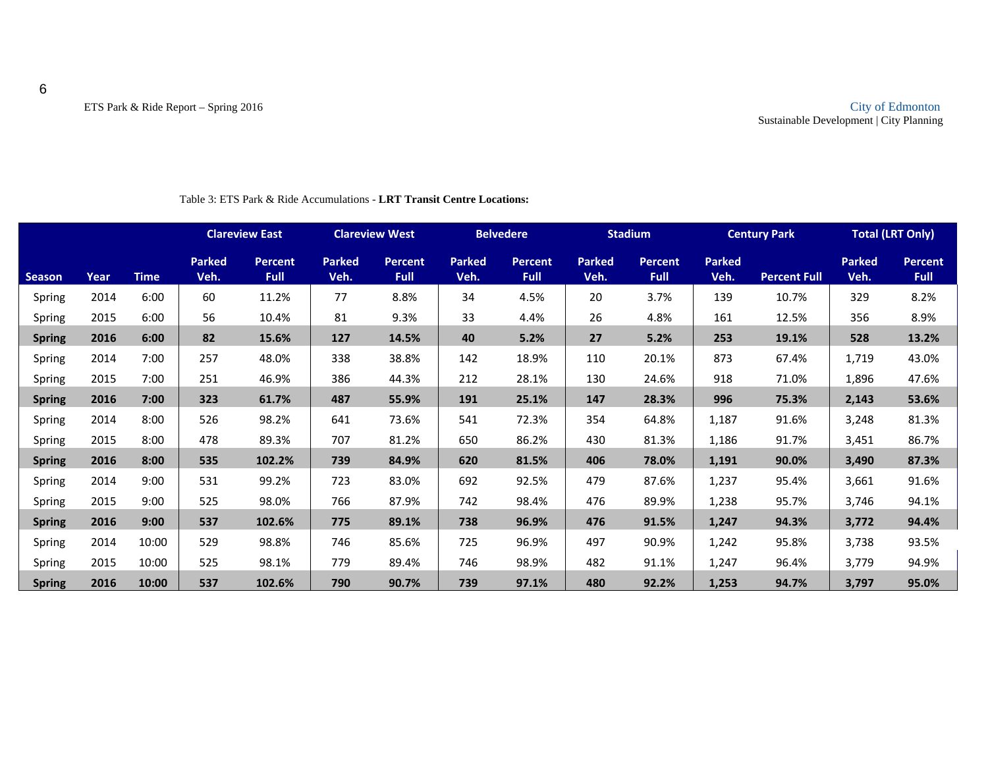|               |      |             |                       | <b>Clareview East</b>         |                       | <b>Clareview West</b>         |                       | <b>Belvedere</b>              |                       | <b>Stadium</b>                |                       | <b>Century Park</b> |                       | <b>Total (LRT Only)</b>       |
|---------------|------|-------------|-----------------------|-------------------------------|-----------------------|-------------------------------|-----------------------|-------------------------------|-----------------------|-------------------------------|-----------------------|---------------------|-----------------------|-------------------------------|
| <b>Season</b> | Year | <b>Time</b> | <b>Parked</b><br>Veh. | <b>Percent</b><br><b>Full</b> | <b>Parked</b><br>Veh. | <b>Percent</b><br><b>Full</b> | <b>Parked</b><br>Veh. | <b>Percent</b><br><b>Full</b> | <b>Parked</b><br>Veh. | <b>Percent</b><br><b>Full</b> | <b>Parked</b><br>Veh. | <b>Percent Full</b> | <b>Parked</b><br>Veh. | <b>Percent</b><br><b>Full</b> |
| Spring        | 2014 | 6:00        | 60                    | 11.2%                         | 77                    | 8.8%                          | 34                    | 4.5%                          | 20                    | 3.7%                          | 139                   | 10.7%               | 329                   | 8.2%                          |
| Spring        | 2015 | 6:00        | 56                    | 10.4%                         | 81                    | 9.3%                          | 33                    | 4.4%                          | 26                    | 4.8%                          | 161                   | 12.5%               | 356                   | 8.9%                          |
| <b>Spring</b> | 2016 | 6:00        | 82                    | 15.6%                         | 127                   | 14.5%                         | 40                    | 5.2%                          | 27                    | 5.2%                          | 253                   | 19.1%               | 528                   | 13.2%                         |
| Spring        | 2014 | 7:00        | 257                   | 48.0%                         | 338                   | 38.8%                         | 142                   | 18.9%                         | 110                   | 20.1%                         | 873                   | 67.4%               | 1,719                 | 43.0%                         |
| Spring        | 2015 | 7:00        | 251                   | 46.9%                         | 386                   | 44.3%                         | 212                   | 28.1%                         | 130                   | 24.6%                         | 918                   | 71.0%               | 1,896                 | 47.6%                         |
| <b>Spring</b> | 2016 | 7:00        | 323                   | 61.7%                         | 487                   | 55.9%                         | 191                   | 25.1%                         | 147                   | 28.3%                         | 996                   | 75.3%               | 2,143                 | 53.6%                         |
| Spring        | 2014 | 8:00        | 526                   | 98.2%                         | 641                   | 73.6%                         | 541                   | 72.3%                         | 354                   | 64.8%                         | 1,187                 | 91.6%               | 3,248                 | 81.3%                         |
| Spring        | 2015 | 8:00        | 478                   | 89.3%                         | 707                   | 81.2%                         | 650                   | 86.2%                         | 430                   | 81.3%                         | 1,186                 | 91.7%               | 3,451                 | 86.7%                         |
| <b>Spring</b> | 2016 | 8:00        | 535                   | 102.2%                        | 739                   | 84.9%                         | 620                   | 81.5%                         | 406                   | 78.0%                         | 1,191                 | 90.0%               | 3,490                 | 87.3%                         |
| Spring        | 2014 | 9:00        | 531                   | 99.2%                         | 723                   | 83.0%                         | 692                   | 92.5%                         | 479                   | 87.6%                         | 1,237                 | 95.4%               | 3,661                 | 91.6%                         |
| Spring        | 2015 | 9:00        | 525                   | 98.0%                         | 766                   | 87.9%                         | 742                   | 98.4%                         | 476                   | 89.9%                         | 1,238                 | 95.7%               | 3,746                 | 94.1%                         |
| <b>Spring</b> | 2016 | 9:00        | 537                   | 102.6%                        | 775                   | 89.1%                         | 738                   | 96.9%                         | 476                   | 91.5%                         | 1,247                 | 94.3%               | 3,772                 | 94.4%                         |
| Spring        | 2014 | 10:00       | 529                   | 98.8%                         | 746                   | 85.6%                         | 725                   | 96.9%                         | 497                   | 90.9%                         | 1,242                 | 95.8%               | 3,738                 | 93.5%                         |
| Spring        | 2015 | 10:00       | 525                   | 98.1%                         | 779                   | 89.4%                         | 746                   | 98.9%                         | 482                   | 91.1%                         | 1,247                 | 96.4%               | 3,779                 | 94.9%                         |
| <b>Spring</b> | 2016 | 10:00       | 537                   | 102.6%                        | 790                   | 90.7%                         | 739                   | 97.1%                         | 480                   | 92.2%                         | 1,253                 | 94.7%               | 3,797                 | 95.0%                         |

#### Table 3: ETS Park & Ride Accumulations - **LRT Transit Centre Locations:**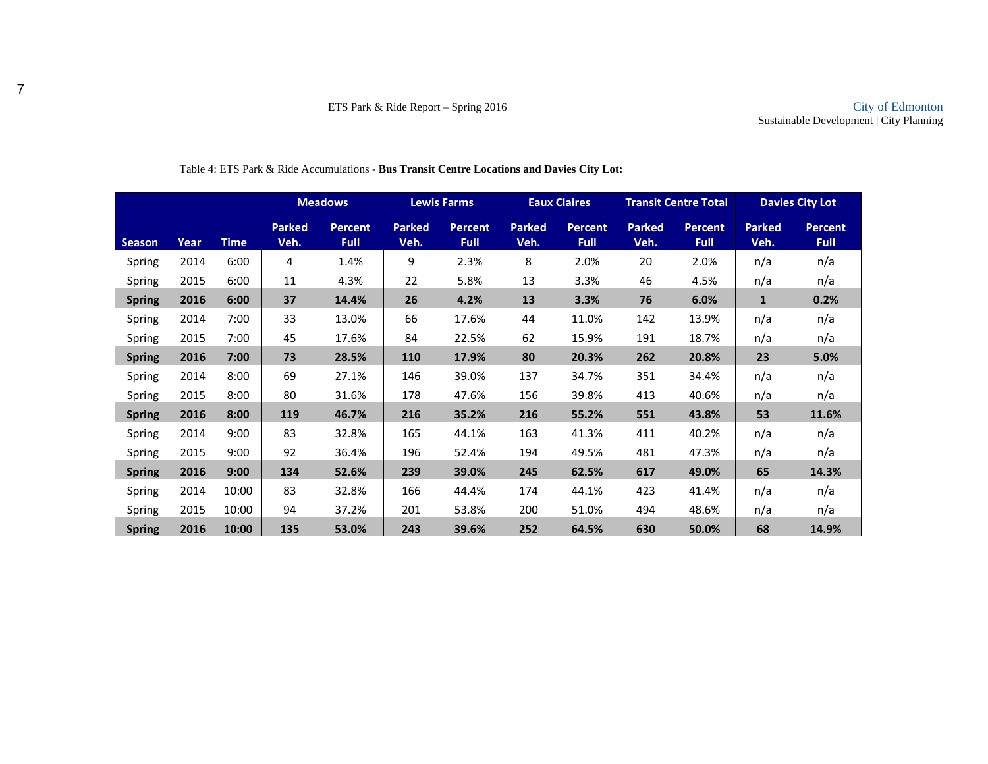|               |      |             |                       | <b>Meadows</b>                |                       | <b>Lewis Farms</b>            |                       | <b>Eaux Claires</b>           |                       | <b>Transit Centre Total</b>   |                       | <b>Davies City Lot</b>        |
|---------------|------|-------------|-----------------------|-------------------------------|-----------------------|-------------------------------|-----------------------|-------------------------------|-----------------------|-------------------------------|-----------------------|-------------------------------|
| <b>Season</b> | Year | <b>Time</b> | <b>Parked</b><br>Veh. | <b>Percent</b><br><b>Full</b> | <b>Parked</b><br>Veh. | <b>Percent</b><br><b>Full</b> | <b>Parked</b><br>Veh. | <b>Percent</b><br><b>Full</b> | <b>Parked</b><br>Veh. | <b>Percent</b><br><b>Full</b> | <b>Parked</b><br>Veh. | <b>Percent</b><br><b>Full</b> |
| Spring        | 2014 | 6:00        | 4                     | 1.4%                          | 9                     | 2.3%                          | 8                     | 2.0%                          | 20                    | 2.0%                          | n/a                   | n/a                           |
| Spring        | 2015 | 6:00        | 11                    | 4.3%                          | 22                    | 5.8%                          | 13                    | 3.3%                          | 46                    | 4.5%                          | n/a                   | n/a                           |
| <b>Spring</b> | 2016 | 6:00        | 37                    | 14.4%                         | 26                    | 4.2%                          | 13                    | 3.3%                          | 76                    | 6.0%                          | $\mathbf{1}$          | 0.2%                          |
| Spring        | 2014 | 7:00        | 33                    | 13.0%                         | 66                    | 17.6%                         | 44                    | 11.0%                         | 142                   | 13.9%                         | n/a                   | n/a                           |
| Spring        | 2015 | 7:00        | 45                    | 17.6%                         | 84                    | 22.5%                         | 62                    | 15.9%                         | 191                   | 18.7%                         | n/a                   | n/a                           |
| <b>Spring</b> | 2016 | 7:00        | 73                    | 28.5%                         | <b>110</b>            | 17.9%                         | 80                    | 20.3%                         | 262                   | 20.8%                         | 23                    | 5.0%                          |
| Spring        | 2014 | 8:00        | 69                    | 27.1%                         | 146                   | 39.0%                         | 137                   | 34.7%                         | 351                   | 34.4%                         | n/a                   | n/a                           |
| Spring        | 2015 | 8:00        | 80                    | 31.6%                         | 178                   | 47.6%                         | 156                   | 39.8%                         | 413                   | 40.6%                         | n/a                   | n/a                           |
| <b>Spring</b> | 2016 | 8:00        | 119                   | 46.7%                         | 216                   | 35.2%                         | 216                   | 55.2%                         | 551                   | 43.8%                         | 53                    | 11.6%                         |
| Spring        | 2014 | 9:00        | 83                    | 32.8%                         | 165                   | 44.1%                         | 163                   | 41.3%                         | 411                   | 40.2%                         | n/a                   | n/a                           |
| Spring        | 2015 | 9:00        | 92                    | 36.4%                         | 196                   | 52.4%                         | 194                   | 49.5%                         | 481                   | 47.3%                         | n/a                   | n/a                           |
| <b>Spring</b> | 2016 | 9:00        | 134                   | 52.6%                         | 239                   | 39.0%                         | 245                   | 62.5%                         | 617                   | 49.0%                         | 65                    | 14.3%                         |
| Spring        | 2014 | 10:00       | 83                    | 32.8%                         | 166                   | 44.4%                         | 174                   | 44.1%                         | 423                   | 41.4%                         | n/a                   | n/a                           |
| Spring        | 2015 | 10:00       | 94                    | 37.2%                         | 201                   | 53.8%                         | 200                   | 51.0%                         | 494                   | 48.6%                         | n/a                   | n/a                           |
| <b>Spring</b> | 2016 | 10:00       | 135                   | 53.0%                         | 243                   | 39.6%                         | 252                   | 64.5%                         | 630                   | 50.0%                         | 68                    | 14.9%                         |

#### Table 4: ETS Park & Ride Accumulations - **Bus Transit Centre Locations and Davies City Lot:**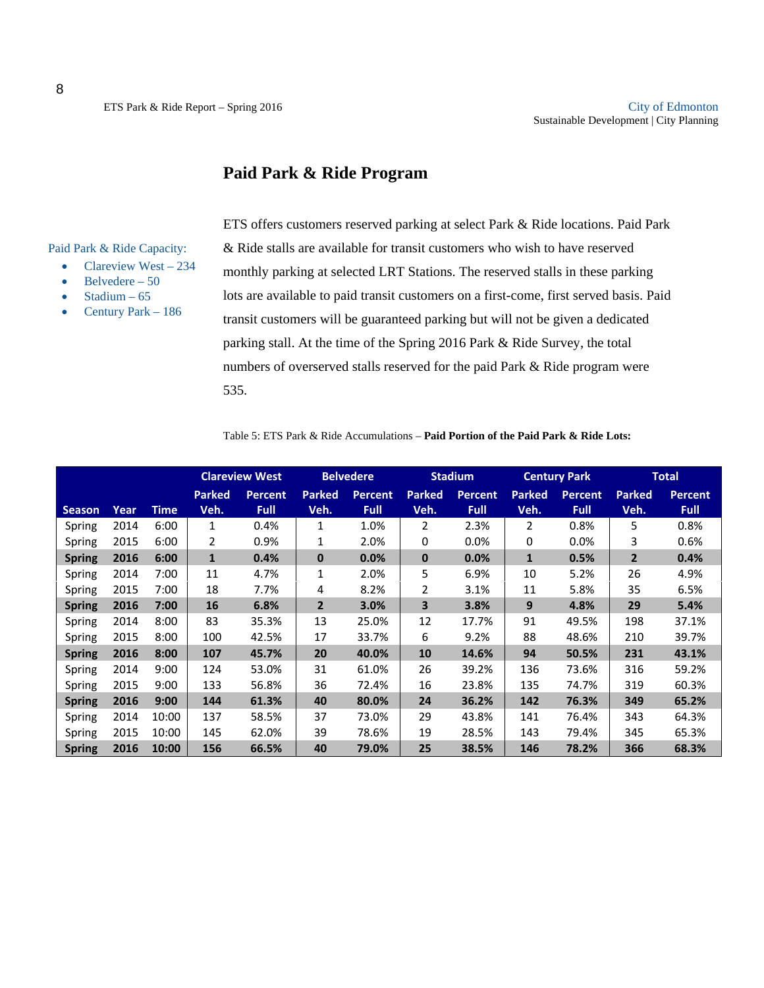### **Paid Park & Ride Program**

Paid Park & Ride Capacity:

- Clareview West  $-234$
- Belvedere 50
- Stadium 65
- Century Park 186

ETS offers customers reserved parking at select Park & Ride locations. Paid Park & Ride stalls are available for transit customers who wish to have reserved monthly parking at selected LRT Stations. The reserved stalls in these parking lots are available to paid transit customers on a first-come, first served basis. Paid transit customers will be guaranteed parking but will not be given a dedicated parking stall. At the time of the Spring 2016 Park & Ride Survey, the total numbers of overserved stalls reserved for the paid Park & Ride program were 535.

Table 5: ETS Park & Ride Accumulations – **Paid Portion of the Paid Park & Ride Lots:**

|               |      |       | <b>Clareview West</b> |                | <b>Belvedere</b> |                |               | <b>Stadium</b> |               | <b>Century Park</b> |                | <b>Total</b>   |
|---------------|------|-------|-----------------------|----------------|------------------|----------------|---------------|----------------|---------------|---------------------|----------------|----------------|
|               |      |       | <b>Parked</b>         | <b>Percent</b> | <b>Parked</b>    | <b>Percent</b> | <b>Parked</b> | <b>Percent</b> | <b>Parked</b> | <b>Percent</b>      | <b>Parked</b>  | <b>Percent</b> |
| <b>Season</b> | Year | Time  | Veh.                  | <b>Full</b>    | Veh.             | <b>Full</b>    | Veh.          | <b>Full</b>    | Veh.          | <b>Full</b>         | Veh.           | <b>Full</b>    |
| Spring        | 2014 | 6:00  | 1                     | 0.4%           | $\mathbf{1}$     | 1.0%           | 2             | 2.3%           | 2             | 0.8%                | 5              | 0.8%           |
| Spring        | 2015 | 6:00  | 2                     | 0.9%           | 1                | 2.0%           | 0             | 0.0%           | 0             | 0.0%                | 3              | 0.6%           |
| <b>Spring</b> | 2016 | 6:00  | $\mathbf{1}$          | 0.4%           | $\mathbf{0}$     | 0.0%           | $\mathbf 0$   | 0.0%           | $\mathbf{1}$  | 0.5%                | $\overline{2}$ | 0.4%           |
| Spring        | 2014 | 7:00  | 11                    | 4.7%           | $\mathbf{1}$     | 2.0%           | 5             | 6.9%           | 10            | 5.2%                | 26             | 4.9%           |
| Spring        | 2015 | 7:00  | 18                    | 7.7%           | 4                | 8.2%           | 2             | 3.1%           | 11            | 5.8%                | 35             | 6.5%           |
| <b>Spring</b> | 2016 | 7:00  | 16                    | 6.8%           | $\overline{2}$   | 3.0%           | 3             | 3.8%           | 9             | 4.8%                | 29             | 5.4%           |
| Spring        | 2014 | 8:00  | 83                    | 35.3%          | 13               | 25.0%          | 12            | 17.7%          | 91            | 49.5%               | 198            | 37.1%          |
| Spring        | 2015 | 8:00  | 100                   | 42.5%          | 17               | 33.7%          | 6             | 9.2%           | 88            | 48.6%               | 210            | 39.7%          |
| <b>Spring</b> | 2016 | 8:00  | 107                   | 45.7%          | 20               | 40.0%          | 10            | 14.6%          | 94            | 50.5%               | 231            | 43.1%          |
| Spring        | 2014 | 9:00  | 124                   | 53.0%          | 31               | 61.0%          | 26            | 39.2%          | 136           | 73.6%               | 316            | 59.2%          |
| Spring        | 2015 | 9:00  | 133                   | 56.8%          | 36               | 72.4%          | 16            | 23.8%          | 135           | 74.7%               | 319            | 60.3%          |
| <b>Spring</b> | 2016 | 9:00  | 144                   | 61.3%          | 40               | 80.0%          | 24            | 36.2%          | 142           | 76.3%               | 349            | 65.2%          |
| Spring        | 2014 | 10:00 | 137                   | 58.5%          | 37               | 73.0%          | 29            | 43.8%          | 141           | 76.4%               | 343            | 64.3%          |
| Spring        | 2015 | 10:00 | 145                   | 62.0%          | 39               | 78.6%          | 19            | 28.5%          | 143           | 79.4%               | 345            | 65.3%          |
| <b>Spring</b> | 2016 | 10:00 | 156                   | 66.5%          | 40               | 79.0%          | 25            | 38.5%          | 146           | 78.2%               | 366            | 68.3%          |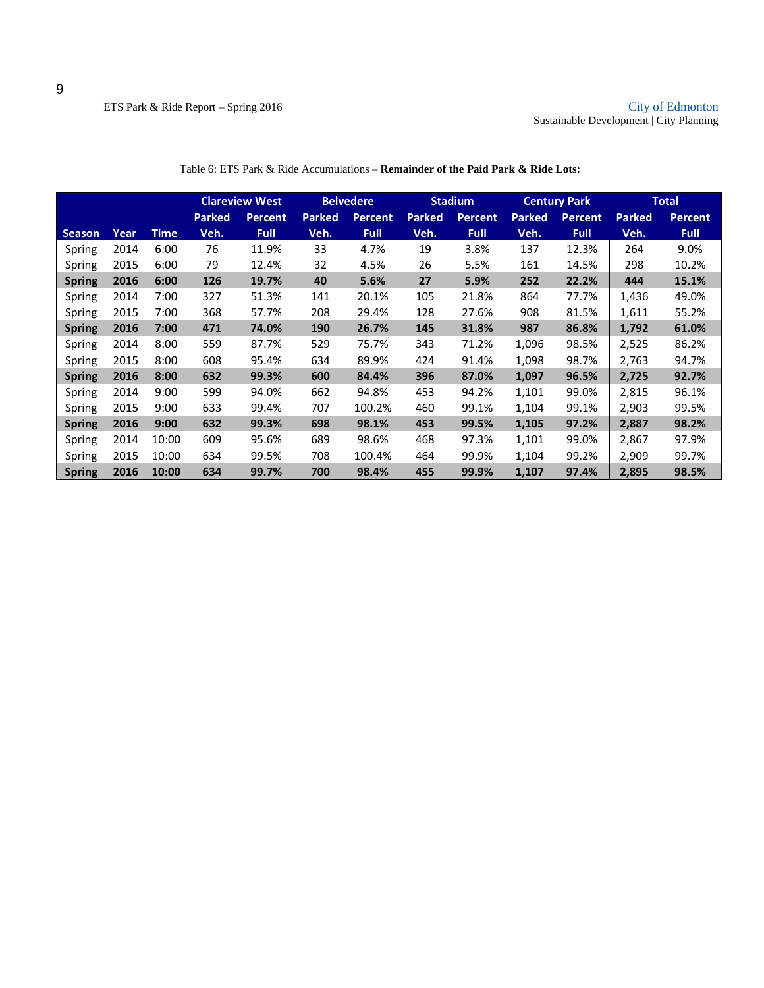|               |      |       |               | <b>Belvedere</b><br><b>Clareview West</b> |               |                |               | <b>Stadium</b> |               | <b>Century Park</b> |               | <b>Total</b>   |
|---------------|------|-------|---------------|-------------------------------------------|---------------|----------------|---------------|----------------|---------------|---------------------|---------------|----------------|
|               |      |       | <b>Parked</b> | <b>Percent</b>                            | <b>Parked</b> | <b>Percent</b> | <b>Parked</b> | <b>Percent</b> | <b>Parked</b> | <b>Percent</b>      | <b>Parked</b> | <b>Percent</b> |
| <b>Season</b> | Year | Time  | Veh.          | <b>Full</b>                               | Veh.          | <b>Full</b>    | Veh.          | <b>Full</b>    | Veh.          | <b>Full</b>         | Veh.          | <b>Full</b>    |
| Spring        | 2014 | 6:00  | 76            | 11.9%                                     | 33            | 4.7%           | 19            | 3.8%           | 137           | 12.3%               | 264           | 9.0%           |
| Spring        | 2015 | 6:00  | 79            | 12.4%                                     | 32            | 4.5%           | 26            | 5.5%           | 161           | 14.5%               | 298           | 10.2%          |
| <b>Spring</b> | 2016 | 6:00  | 126           | 19.7%                                     | 40            | 5.6%           | 27            | 5.9%           | 252           | 22.2%               | 444           | 15.1%          |
| Spring        | 2014 | 7:00  | 327           | 51.3%                                     | 141           | 20.1%          | 105           | 21.8%          | 864           | 77.7%               | 1,436         | 49.0%          |
| Spring        | 2015 | 7:00  | 368           | 57.7%                                     | 208           | 29.4%          | 128           | 27.6%          | 908           | 81.5%               | 1,611         | 55.2%          |
| <b>Spring</b> | 2016 | 7:00  | 471           | 74.0%                                     | 190           | 26.7%          | 145           | 31.8%          | 987           | 86.8%               | 1,792         | 61.0%          |
| Spring        | 2014 | 8:00  | 559           | 87.7%                                     | 529           | 75.7%          | 343           | 71.2%          | 1,096         | 98.5%               | 2,525         | 86.2%          |
| Spring        | 2015 | 8:00  | 608           | 95.4%                                     | 634           | 89.9%          | 424           | 91.4%          | 1,098         | 98.7%               | 2,763         | 94.7%          |
| <b>Spring</b> | 2016 | 8:00  | 632           | 99.3%                                     | 600           | 84.4%          | 396           | 87.0%          | 1,097         | 96.5%               | 2,725         | 92.7%          |
| Spring        | 2014 | 9:00  | 599           | 94.0%                                     | 662           | 94.8%          | 453           | 94.2%          | 1,101         | 99.0%               | 2,815         | 96.1%          |
| Spring        | 2015 | 9:00  | 633           | 99.4%                                     | 707           | 100.2%         | 460           | 99.1%          | 1,104         | 99.1%               | 2,903         | 99.5%          |
| <b>Spring</b> | 2016 | 9:00  | 632           | 99.3%                                     | 698           | 98.1%          | 453           | 99.5%          | 1,105         | 97.2%               | 2,887         | 98.2%          |
| Spring        | 2014 | 10:00 | 609           | 95.6%                                     | 689           | 98.6%          | 468           | 97.3%          | 1,101         | 99.0%               | 2,867         | 97.9%          |
| Spring        | 2015 | 10:00 | 634           | 99.5%                                     | 708           | 100.4%         | 464           | 99.9%          | 1,104         | 99.2%               | 2,909         | 99.7%          |
| <b>Spring</b> | 2016 | 10:00 | 634           | 99.7%                                     | 700           | 98.4%          | 455           | 99.9%          | 1,107         | 97.4%               | 2,895         | 98.5%          |

Table 6: ETS Park & Ride Accumulations – **Remainder of the Paid Park & Ride Lots:**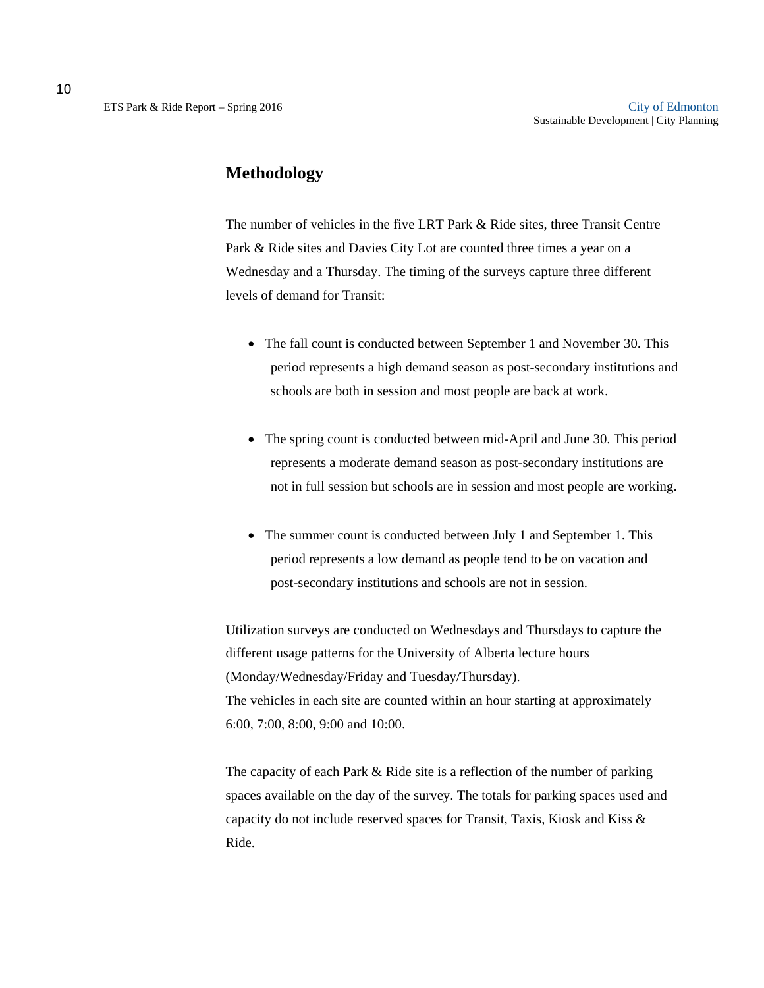The number of vehicles in the five LRT Park & Ride sites, three Transit Centre Park & Ride sites and Davies City Lot are counted three times a year on a Wednesday and a Thursday. The timing of the surveys capture three different levels of demand for Transit:

- The fall count is conducted between September 1 and November 30. This period represents a high demand season as post-secondary institutions and schools are both in session and most people are back at work.
- The spring count is conducted between mid-April and June 30. This period represents a moderate demand season as post-secondary institutions are not in full session but schools are in session and most people are working.
- The summer count is conducted between July 1 and September 1. This period represents a low demand as people tend to be on vacation and post-secondary institutions and schools are not in session.

Utilization surveys are conducted on Wednesdays and Thursdays to capture the different usage patterns for the University of Alberta lecture hours (Monday/Wednesday/Friday and Tuesday/Thursday). The vehicles in each site are counted within an hour starting at approximately 6:00, 7:00, 8:00, 9:00 and 10:00.

The capacity of each Park & Ride site is a reflection of the number of parking spaces available on the day of the survey. The totals for parking spaces used and capacity do not include reserved spaces for Transit, Taxis, Kiosk and Kiss & Ride.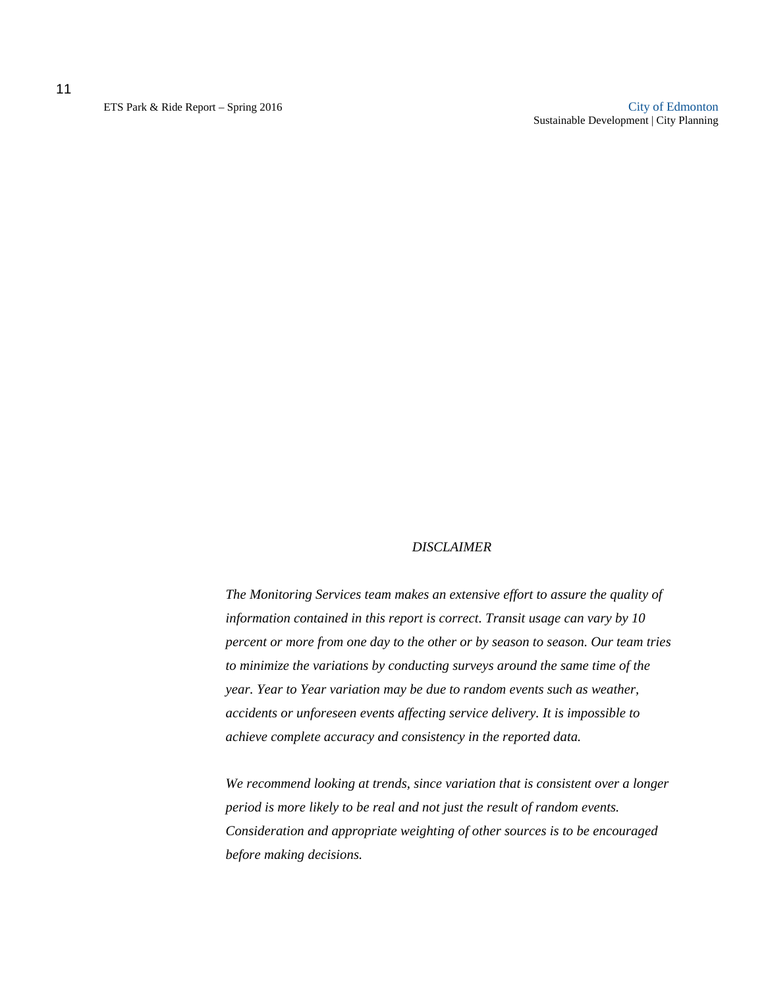11

ETS Park & Ride Report – Spring 2016 City of Edmonton Sustainable Development | City Planning

#### *DISCLAIMER*

*The Monitoring Services team makes an extensive effort to assure the quality of information contained in this report is correct. Transit usage can vary by 10 percent or more from one day to the other or by season to season. Our team tries to minimize the variations by conducting surveys around the same time of the year. Year to Year variation may be due to random events such as weather, accidents or unforeseen events affecting service delivery. It is impossible to achieve complete accuracy and consistency in the reported data.* 

*We recommend looking at trends, since variation that is consistent over a longer period is more likely to be real and not just the result of random events. Consideration and appropriate weighting of other sources is to be encouraged before making decisions.*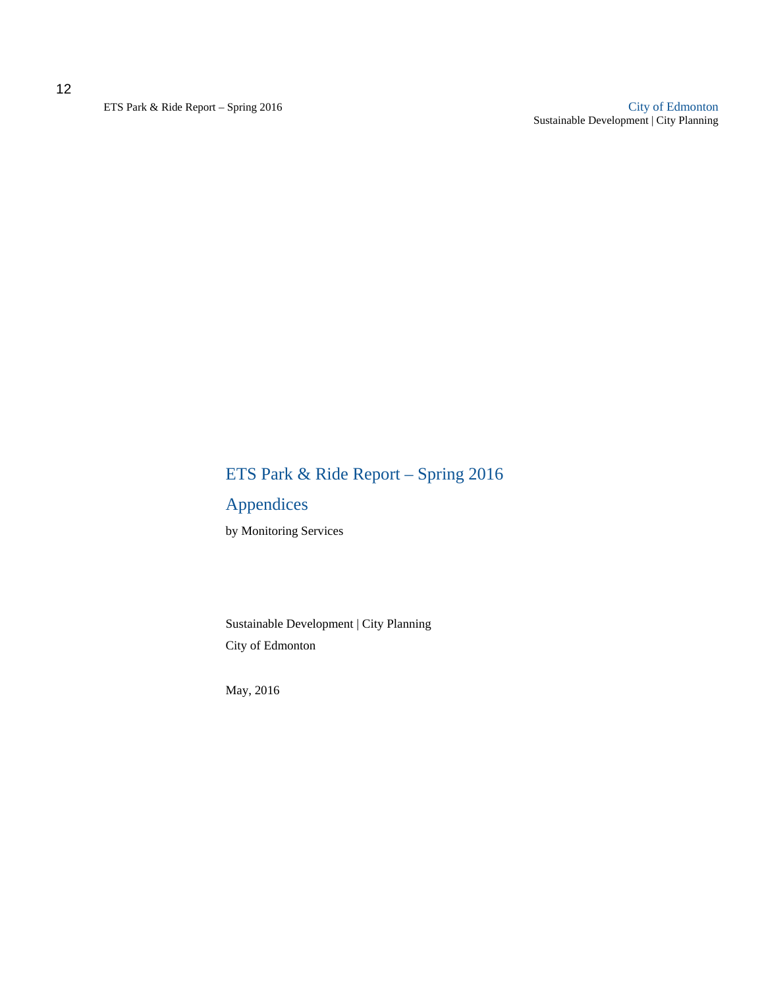ETS Park & Ride Report – Spring 2016 City of Edmonton Sustainable Development | City Planning

# ETS Park & Ride Report – Spring 2016

# Appendices

by Monitoring Services

Sustainable Development | City Planning City of Edmonton

May, 2016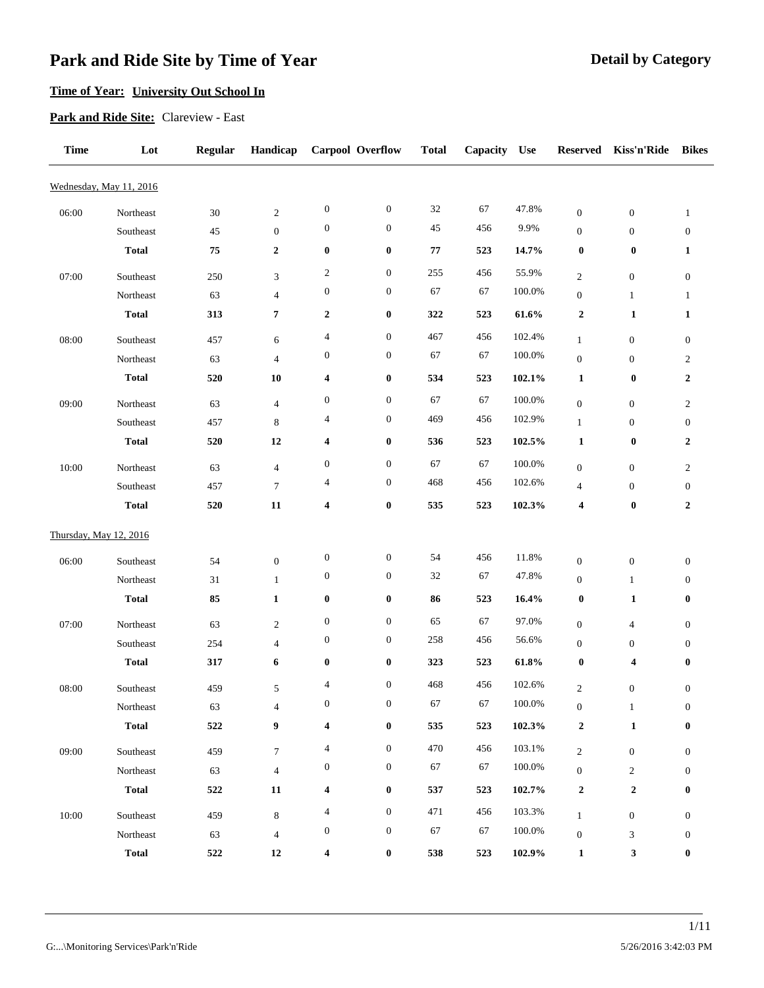## **Time of Year: University Out School In**

**Park and Ride Site:** Clareview - East

| <b>Time</b> | Lot                     | Regular   | Handicap                         |                          | Carpool Overflow | <b>Total</b> | Capacity | <b>Use</b> | <b>Reserved</b>                      | Kiss'n'Ride                          | <b>Bikes</b>                         |
|-------------|-------------------------|-----------|----------------------------------|--------------------------|------------------|--------------|----------|------------|--------------------------------------|--------------------------------------|--------------------------------------|
|             | Wednesday, May 11, 2016 |           |                                  |                          |                  |              |          |            |                                      |                                      |                                      |
| 06:00       | Northeast               | 30        | $\sqrt{2}$                       | $\boldsymbol{0}$         | $\boldsymbol{0}$ | $32\,$       | 67       | 47.8%      | $\boldsymbol{0}$                     | $\boldsymbol{0}$                     | $\mathbf{1}$                         |
|             | Southeast               | 45        | $\boldsymbol{0}$                 | $\boldsymbol{0}$         | $\boldsymbol{0}$ | 45           | 456      | 9.9%       | $\boldsymbol{0}$                     | $\boldsymbol{0}$                     | $\boldsymbol{0}$                     |
|             | <b>Total</b>            | 75        | $\boldsymbol{2}$                 | $\boldsymbol{0}$         | $\bf{0}$         | 77           | 523      | 14.7%      | $\boldsymbol{0}$                     | $\boldsymbol{0}$                     | 1                                    |
| 07:00       | Southeast               | 250       | 3                                | $\overline{c}$           | $\boldsymbol{0}$ | 255          | 456      | 55.9%      | $\overline{c}$                       | $\boldsymbol{0}$                     | $\boldsymbol{0}$                     |
|             | Northeast               | 63        | $\overline{4}$                   | $\boldsymbol{0}$         | $\boldsymbol{0}$ | 67           | 67       | 100.0%     | $\boldsymbol{0}$                     | $\mathbf{1}$                         | $\mathbf{1}$                         |
|             | <b>Total</b>            | 313       | 7                                | $\boldsymbol{2}$         | $\pmb{0}$        | 322          | 523      | 61.6%      | $\boldsymbol{2}$                     | 1                                    | 1                                    |
|             |                         |           |                                  | $\overline{4}$           | $\boldsymbol{0}$ | 467          | 456      | 102.4%     |                                      |                                      |                                      |
| 08:00       | Southeast<br>Northeast  | 457<br>63 | 6<br>$\overline{\mathcal{A}}$    | $\boldsymbol{0}$         | $\boldsymbol{0}$ | 67           | 67       | 100.0%     | $\mathbf{1}$<br>$\boldsymbol{0}$     | $\boldsymbol{0}$<br>$\boldsymbol{0}$ | $\boldsymbol{0}$<br>$\boldsymbol{2}$ |
|             | <b>Total</b>            | 520       | 10                               | 4                        | $\pmb{0}$        | 534          | 523      | 102.1%     | 1                                    | $\boldsymbol{0}$                     | $\boldsymbol{2}$                     |
|             |                         |           |                                  |                          |                  |              |          |            |                                      |                                      |                                      |
| 09:00       | Northeast               | 63        | $\overline{\mathcal{A}}$         | $\boldsymbol{0}$         | $\boldsymbol{0}$ | 67<br>469    | 67       | 100.0%     | $\boldsymbol{0}$                     | $\boldsymbol{0}$                     | $\mathbf{2}$                         |
|             | Southeast               | 457       | $\,$ 8 $\,$                      | $\overline{4}$           | $\boldsymbol{0}$ |              | 456      | 102.9%     | $\mathbf{1}$                         | $\boldsymbol{0}$                     | $\boldsymbol{0}$                     |
|             | <b>Total</b>            | 520       | 12                               | 4                        | $\bf{0}$         | 536          | 523      | 102.5%     | 1                                    | $\boldsymbol{0}$                     | $\boldsymbol{2}$                     |
| 10:00       | Northeast               | 63        | $\overline{\mathcal{A}}$         | $\boldsymbol{0}$         | $\boldsymbol{0}$ | 67           | 67       | 100.0%     | $\boldsymbol{0}$                     | $\boldsymbol{0}$                     | $\mathbf{2}$                         |
|             | Southeast               | 457       | $\boldsymbol{7}$                 | $\overline{\mathcal{A}}$ | $\boldsymbol{0}$ | 468          | 456      | 102.6%     | $\overline{4}$                       | $\boldsymbol{0}$                     | $\boldsymbol{0}$                     |
|             | <b>Total</b>            | 520       | 11                               | $\overline{\mathbf{4}}$  | $\pmb{0}$        | 535          | 523      | 102.3%     | 4                                    | $\boldsymbol{0}$                     | $\boldsymbol{2}$                     |
|             | Thursday, May 12, 2016  |           |                                  |                          |                  |              |          |            |                                      |                                      |                                      |
|             |                         |           |                                  | $\boldsymbol{0}$         | $\boldsymbol{0}$ | 54           | 456      | 11.8%      |                                      |                                      |                                      |
| 06:00       | Southeast<br>Northeast  | 54<br>31  | $\boldsymbol{0}$<br>$\mathbf{1}$ | $\boldsymbol{0}$         | $\boldsymbol{0}$ | $32\,$       | 67       | 47.8%      | $\boldsymbol{0}$<br>$\boldsymbol{0}$ | $\boldsymbol{0}$<br>$\mathbf{1}$     | $\boldsymbol{0}$<br>$\boldsymbol{0}$ |
|             | <b>Total</b>            | 85        | $\mathbf{1}$                     | $\boldsymbol{0}$         | $\bf{0}$         | 86           | 523      | 16.4%      | $\boldsymbol{0}$                     | 1                                    | $\bf{0}$                             |
|             |                         |           |                                  |                          |                  |              |          |            |                                      |                                      |                                      |
| 07:00       | Northeast               | 63        | $\sqrt{2}$                       | $\boldsymbol{0}$         | $\boldsymbol{0}$ | 65           | 67       | 97.0%      | $\boldsymbol{0}$                     | $\overline{\mathcal{A}}$             | $\boldsymbol{0}$                     |
|             | Southeast               | 254       | 4                                | $\boldsymbol{0}$         | $\boldsymbol{0}$ | 258          | 456      | 56.6%      | $\boldsymbol{0}$                     | $\boldsymbol{0}$                     | $\boldsymbol{0}$                     |
|             | <b>Total</b>            | 317       | 6                                | $\boldsymbol{0}$         | $\pmb{0}$        | 323          | 523      | 61.8%      | $\boldsymbol{0}$                     | 4                                    | $\bf{0}$                             |
| 08:00       | Southeast               | 459       | 5                                | $\overline{4}$           | $\boldsymbol{0}$ | 468          | 456      | 102.6%     | $\mathbf{2}$                         | $\boldsymbol{0}$                     | $\boldsymbol{0}$                     |
|             | Northeast               | 63        | $\overline{\mathcal{A}}$         | $\boldsymbol{0}$         | $\bf{0}$         | 67           | 67       | 100.0%     | $\boldsymbol{0}$                     | $\mathbf{1}$                         | $\boldsymbol{0}$                     |
|             | <b>Total</b>            | 522       | 9                                | 4                        | $\pmb{0}$        | 535          | 523      | 102.3%     | $\mathbf 2$                          | $\mathbf{1}$                         | $\bf{0}$                             |
| 09:00       | Southeast               | 459       | $\tau$                           | 4                        | $\boldsymbol{0}$ | 470          | 456      | 103.1%     | $\sqrt{2}$                           | $\boldsymbol{0}$                     | $\overline{0}$                       |
|             | Northeast               | 63        | $\overline{4}$                   | $\boldsymbol{0}$         | $\boldsymbol{0}$ | 67           | 67       | 100.0%     | $\boldsymbol{0}$                     | $\overline{c}$                       | $\boldsymbol{0}$                     |
|             | <b>Total</b>            | 522       | 11                               | 4                        | $\pmb{0}$        | 537          | 523      | 102.7%     | $\boldsymbol{2}$                     | $\boldsymbol{2}$                     | $\bf{0}$                             |
| 10:00       | Southeast               | 459       | $\,8\,$                          | 4                        | $\boldsymbol{0}$ | 471          | 456      | 103.3%     | $\mathbf{1}$                         | $\boldsymbol{0}$                     | $\boldsymbol{0}$                     |
|             | Northeast               | 63        | $\overline{4}$                   | $\boldsymbol{0}$         | $\boldsymbol{0}$ | 67           | 67       | $100.0\%$  | $\boldsymbol{0}$                     | 3                                    | $\boldsymbol{0}$                     |
|             | <b>Total</b>            | 522       | 12                               | 4                        | $\pmb{0}$        | 538          | 523      | $102.9\%$  | $\mathbf{1}$                         | 3                                    | $\bf{0}$                             |
|             |                         |           |                                  |                          |                  |              |          |            |                                      |                                      |                                      |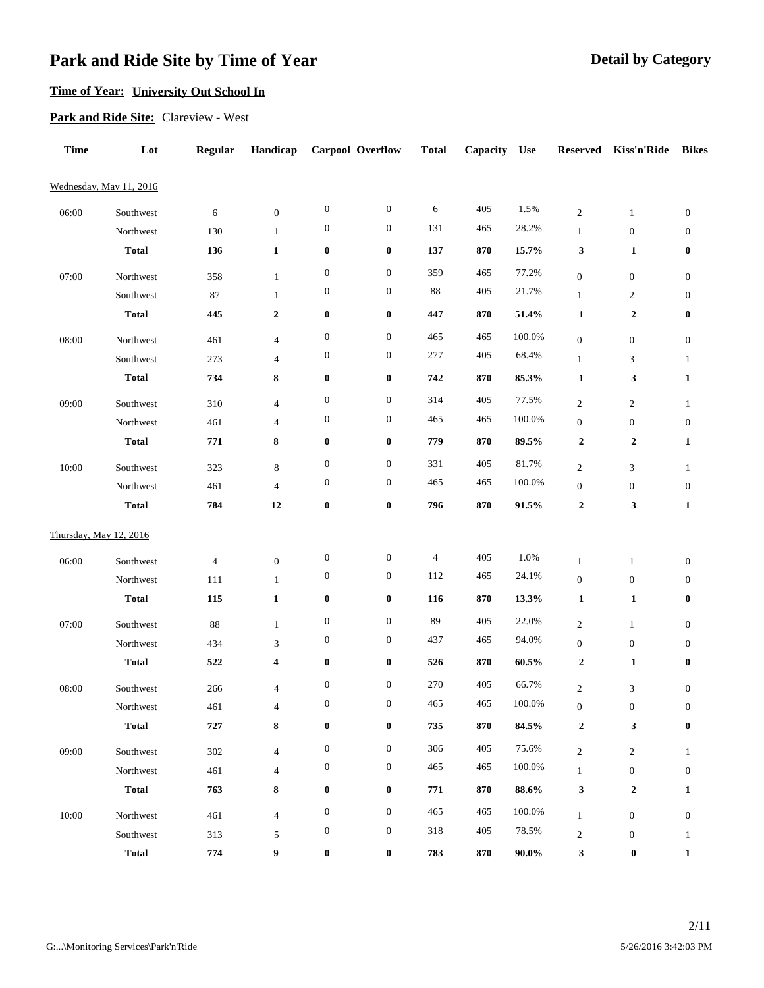## **Time of Year: University Out School In**

**Park and Ride Site:** Clareview - West

| <b>Time</b> | Lot                       | <b>Regular</b> | Handicap          |                  | <b>Carpool Overflow</b> | <b>Total</b> | Capacity | <b>Use</b> | <b>Reserved</b>                    | Kiss'n'Ride                      | <b>Bikes</b>          |
|-------------|---------------------------|----------------|-------------------|------------------|-------------------------|--------------|----------|------------|------------------------------------|----------------------------------|-----------------------|
|             | Wednesday, May 11, 2016   |                |                   |                  |                         |              |          |            |                                    |                                  |                       |
| 06:00       | Southwest                 | 6              | $\boldsymbol{0}$  | $\boldsymbol{0}$ | $\boldsymbol{0}$        | 6            | 405      | 1.5%       | $\mathfrak{2}$                     | $\mathbf{1}$                     | $\boldsymbol{0}$      |
|             | Northwest                 | 130            | $\mathbf{1}$      | $\boldsymbol{0}$ | $\boldsymbol{0}$        | 131          | 465      | 28.2%      | $\mathbf{1}$                       | $\boldsymbol{0}$                 | $\boldsymbol{0}$      |
|             | <b>Total</b>              | 136            | $\mathbf{1}$      | $\pmb{0}$        | $\boldsymbol{0}$        | 137          | 870      | 15.7%      | 3                                  | 1                                | 0                     |
| 07:00       | Northwest                 | 358            | $\mathbf{1}$      | $\boldsymbol{0}$ | $\boldsymbol{0}$        | 359          | 465      | 77.2%      | $\boldsymbol{0}$                   | $\boldsymbol{0}$                 | $\boldsymbol{0}$      |
|             | Southwest                 | 87             | $\mathbf{1}$      | $\boldsymbol{0}$ | $\boldsymbol{0}$        | 88           | 405      | 21.7%      | $\mathbf{1}$                       | $\boldsymbol{2}$                 | $\boldsymbol{0}$      |
|             | <b>Total</b>              | 445            | $\boldsymbol{2}$  | $\pmb{0}$        | $\boldsymbol{0}$        | 447          | 870      | 51.4%      | $\mathbf{1}$                       | $\boldsymbol{2}$                 | 0                     |
|             |                           |                |                   | $\boldsymbol{0}$ | $\boldsymbol{0}$        | 465          | 465      | 100.0%     |                                    |                                  |                       |
| 08:00       | Northwest                 | 461            | $\overline{4}$    | $\boldsymbol{0}$ | $\boldsymbol{0}$        | 277          | 405      | 68.4%      | $\boldsymbol{0}$                   | $\boldsymbol{0}$                 | $\boldsymbol{0}$      |
|             | Southwest<br><b>Total</b> | 273<br>734     | $\overline{4}$    | $\pmb{0}$        |                         |              | 870      |            | $\mathbf{1}$                       | 3<br>3                           | 1                     |
|             |                           |                | 8                 |                  | $\boldsymbol{0}$        | 742          |          | 85.3%      | 1                                  |                                  | $\mathbf{1}$          |
| 09:00       | Southwest                 | 310            | $\overline{4}$    | $\boldsymbol{0}$ | $\boldsymbol{0}$        | 314          | 405      | 77.5%      | $\overline{c}$                     | $\mathbf{2}$                     | 1                     |
|             | Northwest                 | 461            | 4                 | $\boldsymbol{0}$ | $\boldsymbol{0}$        | 465          | 465      | 100.0%     | $\boldsymbol{0}$                   | $\boldsymbol{0}$                 | $\boldsymbol{0}$      |
|             | <b>Total</b>              | 771            | 8                 | $\bf{0}$         | $\boldsymbol{0}$        | 779          | 870      | 89.5%      | $\boldsymbol{2}$                   | $\boldsymbol{2}$                 | 1                     |
| 10:00       | Southwest                 | 323            | $\,8\,$           | $\boldsymbol{0}$ | $\boldsymbol{0}$        | 331          | 405      | 81.7%      | $\boldsymbol{2}$                   | 3                                | $\mathbf{1}$          |
|             | Northwest                 | 461            | $\overline{4}$    | $\boldsymbol{0}$ | $\boldsymbol{0}$        | 465          | 465      | 100.0%     | $\boldsymbol{0}$                   | $\boldsymbol{0}$                 | $\boldsymbol{0}$      |
|             | <b>Total</b>              | 784            | 12                | $\pmb{0}$        | $\pmb{0}$               | 796          | 870      | 91.5%      | $\boldsymbol{2}$                   | 3                                | 1                     |
|             | Thursday, May 12, 2016    |                |                   |                  |                         |              |          |            |                                    |                                  |                       |
| 06:00       | Southwest                 | $\overline{4}$ | $\boldsymbol{0}$  | $\boldsymbol{0}$ | $\boldsymbol{0}$        | 4            | 405      | 1.0%       | $\mathbf{1}$                       | $\mathbf{1}$                     | $\boldsymbol{0}$      |
|             | Northwest                 | 111            | $\mathbf{1}$      | $\boldsymbol{0}$ | $\boldsymbol{0}$        | 112          | 465      | 24.1%      | $\boldsymbol{0}$                   | $\boldsymbol{0}$                 | $\boldsymbol{0}$      |
|             | <b>Total</b>              | 115            | $\mathbf{1}$      | $\bf{0}$         | $\boldsymbol{0}$        | 116          | 870      | 13.3%      | $\mathbf{1}$                       | 1                                | 0                     |
|             |                           |                |                   | $\boldsymbol{0}$ | $\boldsymbol{0}$        | 89           | 405      | 22.0%      |                                    |                                  |                       |
| 07:00       | Southwest<br>Northwest    | 88<br>434      | $\mathbf{1}$<br>3 | $\boldsymbol{0}$ | $\boldsymbol{0}$        | 437          | 465      | 94.0%      | $\mathfrak{2}$<br>$\boldsymbol{0}$ | $\mathbf{1}$<br>$\boldsymbol{0}$ | $\boldsymbol{0}$<br>0 |
|             | <b>Total</b>              | 522            | 4                 | $\pmb{0}$        | $\boldsymbol{0}$        | 526          | 870      | $60.5\%$   | 2                                  | 1                                | 0                     |
|             |                           |                |                   |                  |                         |              |          |            |                                    |                                  |                       |
| 08:00       | Southwest                 | 266            | $\overline{4}$    | $\boldsymbol{0}$ | $\boldsymbol{0}$        | 270          | 405      | 66.7%      | $\overline{c}$                     | $\mathfrak{Z}$                   | $\boldsymbol{0}$      |
|             | Northwest                 | 461            | $\overline{4}$    | $\boldsymbol{0}$ | $\bf{0}$                | 465          | 465      | 100.0%     | $\boldsymbol{0}$                   | $\mathbf{0}$                     | $\mathbf{0}$          |
|             | <b>Total</b>              | 727            | 8                 | $\bf{0}$         | $\bf{0}$                | 735          | 870      | 84.5%      | $\boldsymbol{2}$                   | 3                                | $\bf{0}$              |
| 09:00       | Southwest                 | 302            | $\overline{4}$    | $\boldsymbol{0}$ | $\boldsymbol{0}$        | 306          | 405      | 75.6%      | $\overline{c}$                     | $\sqrt{2}$                       | $\mathbf{1}$          |
|             | Northwest                 | 461            | $\overline{4}$    | $\boldsymbol{0}$ | $\boldsymbol{0}$        | 465          | 465      | 100.0%     | $\mathbf{1}$                       | $\mathbf{0}$                     | $\boldsymbol{0}$      |
|             | <b>Total</b>              | 763            | 8                 | $\pmb{0}$        | $\boldsymbol{0}$        | 771          | 870      | 88.6%      | 3                                  | $\boldsymbol{2}$                 | 1                     |
| 10:00       | Northwest                 | 461            | $\overline{4}$    | $\boldsymbol{0}$ | $\boldsymbol{0}$        | 465          | 465      | 100.0%     | $\mathbf{1}$                       | $\mathbf{0}$                     | $\boldsymbol{0}$      |
|             | Southwest                 | 313            | 5                 | $\boldsymbol{0}$ | $\mathbf{0}$            | 318          | 405      | 78.5%      | $\overline{c}$                     | $\mathbf{0}$                     | 1                     |
|             | <b>Total</b>              | 774            | 9                 | $\bf{0}$         | $\boldsymbol{0}$        | 783          | 870      | $90.0\%$   | 3                                  | $\boldsymbol{0}$                 | 1                     |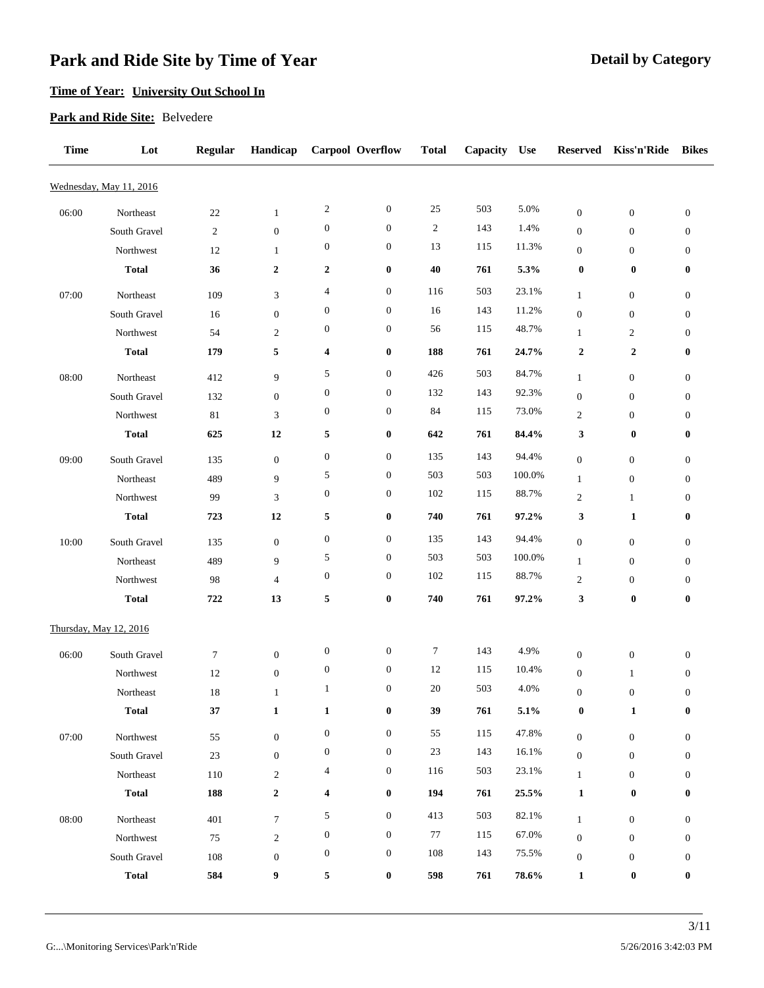### **Time of Year: University Out School In**

#### **Park and Ride Site:** Belvedere

| <b>Time</b> | Lot                     | <b>Regular</b> | Handicap         |                       | <b>Carpool Overflow</b>              | <b>Total</b>     | Capacity | <b>Use</b>     | <b>Reserved</b>  | Kiss'n'Ride      | <b>Bikes</b>     |
|-------------|-------------------------|----------------|------------------|-----------------------|--------------------------------------|------------------|----------|----------------|------------------|------------------|------------------|
|             | Wednesday, May 11, 2016 |                |                  |                       |                                      |                  |          |                |                  |                  |                  |
| 06:00       | Northeast               | 22             | 1                | $\overline{c}$        | $\boldsymbol{0}$                     | 25               | 503      | 5.0%           | $\boldsymbol{0}$ | $\boldsymbol{0}$ | $\boldsymbol{0}$ |
|             | South Gravel            | 2              | $\boldsymbol{0}$ | $\boldsymbol{0}$      | $\boldsymbol{0}$                     | $\boldsymbol{2}$ | 143      | 1.4%           | $\boldsymbol{0}$ | $\boldsymbol{0}$ | $\boldsymbol{0}$ |
|             | Northwest               | 12             | $\mathbf{1}$     | $\boldsymbol{0}$      | $\boldsymbol{0}$                     | 13               | 115      | 11.3%          | $\boldsymbol{0}$ | $\mathbf{0}$     | $\boldsymbol{0}$ |
|             | <b>Total</b>            | 36             | $\boldsymbol{2}$ | $\boldsymbol{2}$      | $\boldsymbol{0}$                     | 40               | 761      | 5.3%           | $\boldsymbol{0}$ | $\boldsymbol{0}$ | 0                |
| 07:00       | Northeast               | 109            | $\mathfrak{Z}$   | $\overline{4}$        | $\boldsymbol{0}$                     | 116              | 503      | 23.1%          | $\mathbf{1}$     | $\boldsymbol{0}$ | $\boldsymbol{0}$ |
|             | South Gravel            | 16             | $\boldsymbol{0}$ | $\boldsymbol{0}$      | $\boldsymbol{0}$                     | 16               | 143      | 11.2%          | $\boldsymbol{0}$ | $\boldsymbol{0}$ | 0                |
|             | Northwest               | 54             | $\boldsymbol{2}$ | $\boldsymbol{0}$      | $\boldsymbol{0}$                     | 56               | 115      | 48.7%          | $\mathbf{1}$     | $\overline{c}$   | 0                |
|             | <b>Total</b>            | 179            | 5                | 4                     | $\boldsymbol{0}$                     | 188              | 761      | 24.7%          | $\boldsymbol{2}$ | $\boldsymbol{2}$ | 0                |
|             |                         |                |                  |                       |                                      | 426              | 503      | 84.7%          |                  |                  |                  |
| 08:00       | Northeast               | 412            | 9                | 5<br>$\boldsymbol{0}$ | $\boldsymbol{0}$<br>$\boldsymbol{0}$ | 132              | 143      |                | $\mathbf{1}$     | $\boldsymbol{0}$ | $\boldsymbol{0}$ |
|             | South Gravel            | 132            | $\boldsymbol{0}$ | $\boldsymbol{0}$      | $\boldsymbol{0}$                     | 84               | 115      | 92.3%<br>73.0% | $\boldsymbol{0}$ | $\boldsymbol{0}$ | 0                |
|             | Northwest               | 81             | 3                |                       |                                      |                  |          |                | $\overline{2}$   | $\mathbf{0}$     | $\boldsymbol{0}$ |
|             | <b>Total</b>            | 625            | 12               | 5                     | $\bf{0}$                             | 642              | 761      | 84.4%          | 3                | $\bf{0}$         | 0                |
| 09:00       | South Gravel            | 135            | $\mathbf{0}$     | $\boldsymbol{0}$      | $\boldsymbol{0}$                     | 135              | 143      | 94.4%          | $\boldsymbol{0}$ | $\boldsymbol{0}$ | $\boldsymbol{0}$ |
|             | Northeast               | 489            | 9                | 5                     | $\boldsymbol{0}$                     | 503              | 503      | 100.0%         | $\mathbf{1}$     | $\boldsymbol{0}$ | 0                |
|             | Northwest               | 99             | 3                | $\boldsymbol{0}$      | $\boldsymbol{0}$                     | 102              | 115      | 88.7%          | 2                | $\mathbf{1}$     | 0                |
|             | <b>Total</b>            | 723            | 12               | 5                     | $\boldsymbol{0}$                     | 740              | 761      | $97.2\%$       | 3                | 1                | 0                |
| 10:00       | South Gravel            | 135            | $\mathbf{0}$     | $\boldsymbol{0}$      | $\boldsymbol{0}$                     | 135              | 143      | 94.4%          | $\boldsymbol{0}$ | $\boldsymbol{0}$ | $\boldsymbol{0}$ |
|             | Northeast               | 489            | 9                | 5                     | $\boldsymbol{0}$                     | 503              | 503      | 100.0%         | $\mathbf{1}$     | $\boldsymbol{0}$ | $\boldsymbol{0}$ |
|             | Northwest               | 98             | $\overline{4}$   | $\boldsymbol{0}$      | $\boldsymbol{0}$                     | 102              | 115      | 88.7%          | $\overline{c}$   | $\boldsymbol{0}$ | 0                |
|             | <b>Total</b>            | 722            | 13               | 5                     | $\pmb{0}$                            | 740              | 761      | 97.2%          | 3                | $\bf{0}$         | 0                |
|             | Thursday, May 12, 2016  |                |                  |                       |                                      |                  |          |                |                  |                  |                  |
|             |                         |                |                  | $\boldsymbol{0}$      | $\boldsymbol{0}$                     | $\tau$           | 143      | 4.9%           |                  |                  |                  |
| 06:00       | South Gravel            | 7              | $\boldsymbol{0}$ | $\boldsymbol{0}$      | $\boldsymbol{0}$                     | 12               | 115      | 10.4%          | $\boldsymbol{0}$ | $\boldsymbol{0}$ | 0                |
|             | Northwest               | 12             | $\boldsymbol{0}$ | $\mathbf{1}$          | $\boldsymbol{0}$                     | 20               | 503      | 4.0%           | $\boldsymbol{0}$ | $\mathbf{1}$     | $\boldsymbol{0}$ |
|             | Northeast               | 18             | $\mathbf{1}$     |                       |                                      |                  |          |                | $\boldsymbol{0}$ | $\mathbf{0}$     | $\boldsymbol{0}$ |
|             | <b>Total</b>            | $37\,$         | $\mathbf{1}$     | $\mathbf{1}$          | $\bf{0}$                             | 39               | 761      | 5.1%           | 0                | $\mathbf{1}$     | 0                |
| 07:00       | Northwest               | 55             | $\boldsymbol{0}$ | $\boldsymbol{0}$      | $\boldsymbol{0}$                     | 55               | 115      | 47.8%          | $\boldsymbol{0}$ | $\boldsymbol{0}$ | $\boldsymbol{0}$ |
|             | South Gravel            | 23             | $\boldsymbol{0}$ | $\boldsymbol{0}$      | $\boldsymbol{0}$                     | 23               | 143      | 16.1%          | $\boldsymbol{0}$ | $\boldsymbol{0}$ | $\boldsymbol{0}$ |
|             | Northeast               | 110            | $\overline{c}$   | $\overline{4}$        | $\mathbf{0}$                         | 116              | 503      | 23.1%          | $\mathbf{1}$     | $\mathbf{0}$     | $\boldsymbol{0}$ |
|             | <b>Total</b>            | 188            | $\boldsymbol{2}$ | 4                     | $\bf{0}$                             | 194              | 761      | 25.5%          | 1                | $\boldsymbol{0}$ | 0                |
| 08:00       | Northeast               | 401            | $\tau$           | 5                     | $\boldsymbol{0}$                     | 413              | 503      | 82.1%          | $\mathbf{1}$     | $\mathbf{0}$     | $\boldsymbol{0}$ |
|             | Northwest               | 75             | $\overline{c}$   | $\boldsymbol{0}$      | $\mathbf{0}$                         | 77               | 115      | 67.0%          | $\boldsymbol{0}$ | $\mathbf{0}$     | $\boldsymbol{0}$ |
|             | South Gravel            | 108            | $\boldsymbol{0}$ | $\boldsymbol{0}$      | $\boldsymbol{0}$                     | 108              | 143      | 75.5%          | $\boldsymbol{0}$ | $\boldsymbol{0}$ | $\mathbf{0}$     |
|             | <b>Total</b>            | 584            | 9                | 5                     | $\boldsymbol{0}$                     | 598              | 761      | 78.6%          | $\mathbf{1}$     | $\bf{0}$         | 0                |
|             |                         |                |                  |                       |                                      |                  |          |                |                  |                  |                  |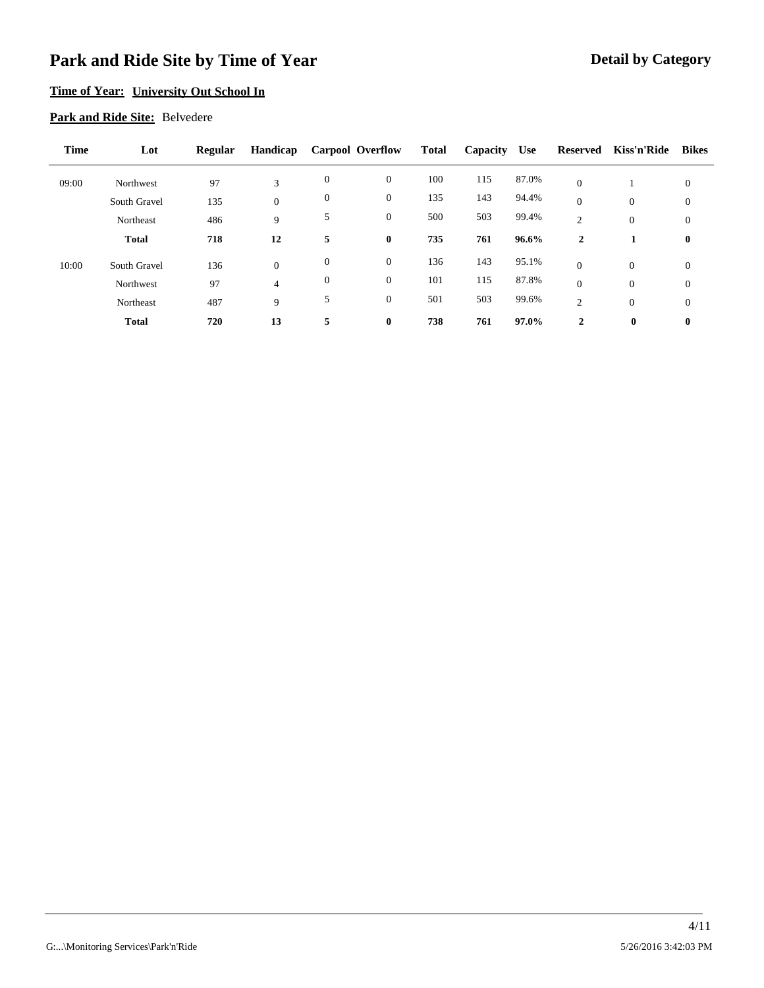### **Time of Year: University Out School In**

#### **Park and Ride Site:** Belvedere

| <b>Time</b> | Lot          | <b>Regular</b> | Handicap         | <b>Carpool Overflow</b> |                  | <b>Total</b> | Capacity | <b>Use</b> | Reserved       | Kiss'n'Ride  | <b>Bikes</b>     |
|-------------|--------------|----------------|------------------|-------------------------|------------------|--------------|----------|------------|----------------|--------------|------------------|
| 09:00       | Northwest    | 97             | 3                | $\mathbf{0}$            | $\mathbf{0}$     | 100          | 115      | 87.0%      | $\theta$       |              | $\mathbf{0}$     |
|             | South Gravel | 135            | $\boldsymbol{0}$ | $\theta$                | $\boldsymbol{0}$ | 135          | 143      | 94.4%      | $\overline{0}$ | $\mathbf{0}$ | $\boldsymbol{0}$ |
|             | Northeast    | 486            | 9                | 5                       | $\boldsymbol{0}$ | 500          | 503      | 99.4%      | 2              | $\theta$     | $\boldsymbol{0}$ |
|             | <b>Total</b> | 718            | 12               | 5                       | $\bf{0}$         | 735          | 761      | 96.6%      | 2              |              | $\bf{0}$         |
| 10:00       | South Gravel | 136            | $\mathbf{0}$     | $\theta$                | $\boldsymbol{0}$ | 136          | 143      | 95.1%      | $\overline{0}$ | $\theta$     | $\mathbf{0}$     |
|             | Northwest    | 97             | 4                | $\theta$                | $\boldsymbol{0}$ | 101          | 115      | 87.8%      | $\Omega$       | $\theta$     | $\mathbf{0}$     |
|             | Northeast    | 487            | 9                | 5                       | $\mathbf{0}$     | 501          | 503      | 99.6%      | 2              | $\mathbf{0}$ | $\boldsymbol{0}$ |
|             | <b>Total</b> | 720            | 13               | 5                       | $\bf{0}$         | 738          | 761      | 97.0%      | 2              | $\bf{0}$     | $\bf{0}$         |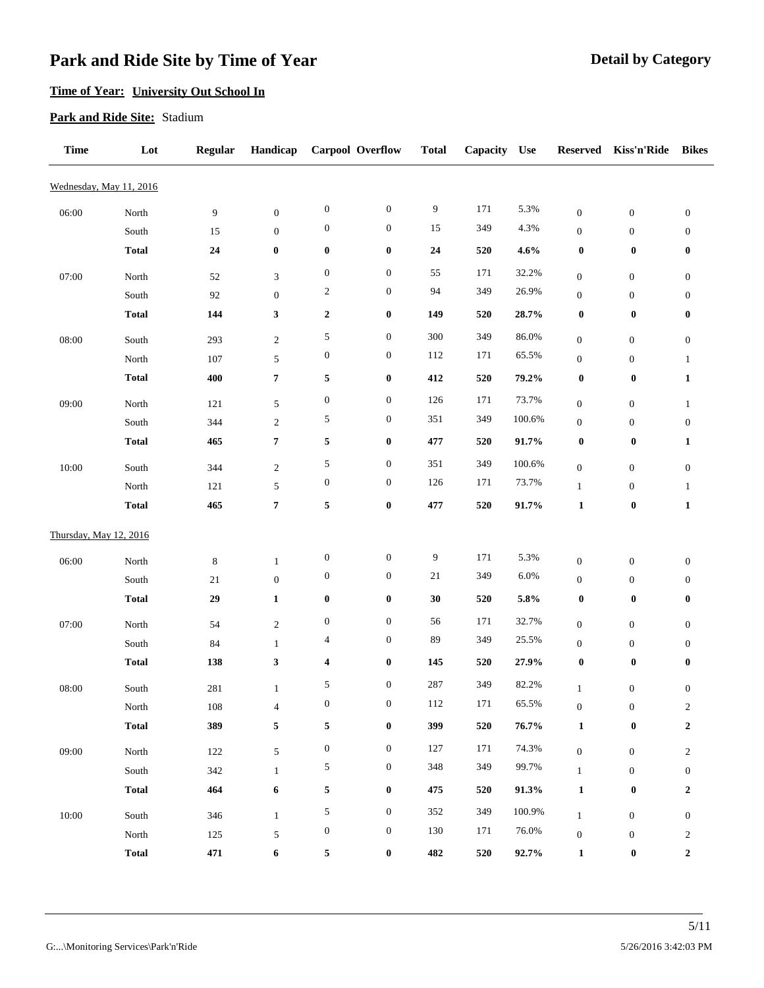## **Time of Year: University Out School In**

### **Park and Ride Site:** Stadium

| <b>Time</b>             | Lot                    | <b>Regular</b> | Handicap                    |                         | Carpool Overflow | <b>Total</b> | Capacity | <b>Use</b> | <b>Reserved</b>                  | Kiss'n'Ride                          | <b>Bikes</b>                       |
|-------------------------|------------------------|----------------|-----------------------------|-------------------------|------------------|--------------|----------|------------|----------------------------------|--------------------------------------|------------------------------------|
| Wednesday, May 11, 2016 |                        |                |                             |                         |                  |              |          |            |                                  |                                      |                                    |
| 06:00                   | North                  | 9              | $\boldsymbol{0}$            | $\boldsymbol{0}$        | $\boldsymbol{0}$ | 9            | 171      | 5.3%       | $\boldsymbol{0}$                 | $\boldsymbol{0}$                     | $\boldsymbol{0}$                   |
|                         | South                  | 15             | $\boldsymbol{0}$            | $\boldsymbol{0}$        | $\boldsymbol{0}$ | 15           | 349      | 4.3%       | $\boldsymbol{0}$                 | $\boldsymbol{0}$                     | $\boldsymbol{0}$                   |
|                         | <b>Total</b>           | 24             | $\pmb{0}$                   | $\pmb{0}$               | $\pmb{0}$        | ${\bf 24}$   | 520      | 4.6%       | $\boldsymbol{0}$                 | $\boldsymbol{0}$                     | 0                                  |
| 07:00                   | North                  | 52             | $\ensuremath{\mathfrak{Z}}$ | $\boldsymbol{0}$        | $\boldsymbol{0}$ | 55           | 171      | 32.2%      | $\boldsymbol{0}$                 | $\boldsymbol{0}$                     | $\boldsymbol{0}$                   |
|                         | South                  | 92             | $\boldsymbol{0}$            | $\overline{c}$          | $\boldsymbol{0}$ | 94           | 349      | 26.9%      | $\boldsymbol{0}$                 | $\boldsymbol{0}$                     | $\boldsymbol{0}$                   |
|                         | <b>Total</b>           | 144            | $\mathbf{3}$                | $\boldsymbol{2}$        | $\pmb{0}$        | 149          | 520      | 28.7%      | $\boldsymbol{0}$                 | $\boldsymbol{0}$                     | 0                                  |
| 08:00                   | South                  | 293            | $\sqrt{2}$                  | 5                       | $\boldsymbol{0}$ | 300          | 349      | 86.0%      | $\boldsymbol{0}$                 | $\boldsymbol{0}$                     | $\boldsymbol{0}$                   |
|                         | North                  | 107            | $\sqrt{5}$                  | $\boldsymbol{0}$        | $\boldsymbol{0}$ | 112          | 171      | 65.5%      | $\boldsymbol{0}$                 | $\boldsymbol{0}$                     | $\mathbf{1}$                       |
|                         | <b>Total</b>           | 400            | $\pmb{7}$                   | 5                       | $\boldsymbol{0}$ | 412          | 520      | 79.2%      | $\boldsymbol{0}$                 | $\boldsymbol{0}$                     | $\mathbf{1}$                       |
| 09:00                   | North                  | 121            | $\sqrt{5}$                  | $\boldsymbol{0}$        | $\boldsymbol{0}$ | 126          | 171      | 73.7%      | $\boldsymbol{0}$                 | $\mathbf{0}$                         | $\mathbf{1}$                       |
|                         | South                  | 344            | $\sqrt{2}$                  | 5                       | $\boldsymbol{0}$ | 351          | 349      | 100.6%     | $\boldsymbol{0}$                 | $\boldsymbol{0}$                     | $\boldsymbol{0}$                   |
|                         | <b>Total</b>           | 465            | $\pmb{7}$                   | 5                       | $\pmb{0}$        | 477          | 520      | 91.7%      | $\boldsymbol{0}$                 | $\boldsymbol{0}$                     | $\mathbf{1}$                       |
|                         |                        |                |                             | 5                       | $\boldsymbol{0}$ | 351          | 349      | 100.6%     |                                  |                                      |                                    |
| 10:00                   | South<br>North         | 344<br>121     | $\sqrt{2}$<br>5             | $\boldsymbol{0}$        | $\boldsymbol{0}$ | 126          | 171      | 73.7%      | $\boldsymbol{0}$<br>$\mathbf{1}$ | $\boldsymbol{0}$<br>$\boldsymbol{0}$ | $\boldsymbol{0}$<br>$\mathbf{1}$   |
|                         | <b>Total</b>           | 465            | $\pmb{7}$                   | 5                       | $\boldsymbol{0}$ | 477          | 520      | 91.7%      | $\mathbf{1}$                     | $\boldsymbol{0}$                     | $\mathbf{1}$                       |
|                         |                        |                |                             |                         |                  |              |          |            |                                  |                                      |                                    |
| Thursday, May 12, 2016  |                        |                |                             |                         |                  |              |          |            |                                  |                                      |                                    |
| 06:00                   | North                  | $\,8\,$        | $\mathbf{1}$                | $\boldsymbol{0}$        | $\boldsymbol{0}$ | 9            | 171      | 5.3%       | $\boldsymbol{0}$                 | $\boldsymbol{0}$                     | $\boldsymbol{0}$                   |
|                         | South                  | 21             | $\boldsymbol{0}$            | $\boldsymbol{0}$        | $\boldsymbol{0}$ | $21\,$       | 349      | 6.0%       | $\boldsymbol{0}$                 | $\boldsymbol{0}$                     | $\boldsymbol{0}$                   |
|                         | <b>Total</b>           | 29             | $\mathbf{1}$                | $\pmb{0}$               | $\pmb{0}$        | 30           | 520      | 5.8%       | $\boldsymbol{0}$                 | $\boldsymbol{0}$                     | 0                                  |
| 07:00                   | North                  | 54             | $\sqrt{2}$                  | $\boldsymbol{0}$        | $\boldsymbol{0}$ | 56           | 171      | 32.7%      | $\boldsymbol{0}$                 | $\boldsymbol{0}$                     | $\boldsymbol{0}$                   |
|                         | South                  | 84             | $\mathbf{1}$                | $\overline{4}$          | $\boldsymbol{0}$ | 89           | 349      | 25.5%      | $\boldsymbol{0}$                 | $\boldsymbol{0}$                     | 0                                  |
|                         | <b>Total</b>           | 138            | $\mathbf{3}$                | $\overline{\mathbf{4}}$ | $\boldsymbol{0}$ | 145          | 520      | 27.9%      | $\boldsymbol{0}$                 | $\boldsymbol{0}$                     | 0                                  |
| 08:00                   | South                  | 281            | $\mathbf{1}$                | 5                       | $\boldsymbol{0}$ | 287          | 349      | 82.2%      | $\mathbf{1}$                     | $\boldsymbol{0}$                     | $\boldsymbol{0}$                   |
|                         | $\operatorname{North}$ | 108            | $\overline{4}$              | $\boldsymbol{0}$        | $\boldsymbol{0}$ | 112          | 171      | 65.5%      | $\boldsymbol{0}$                 | $\boldsymbol{0}$                     | $\overline{c}$                     |
|                         | <b>Total</b>           | 389            | $\mathbf 5$                 | $\mathbf 5$             | $\pmb{0}$        | 399          | 520      | $76.7\%$   | $\mathbf{1}$                     | $\pmb{0}$                            | $\boldsymbol{2}$                   |
| 09:00                   | $\operatorname{North}$ | 122            | $\sqrt{5}$                  | $\boldsymbol{0}$        | $\boldsymbol{0}$ | 127          | 171      | 74.3%      | $\boldsymbol{0}$                 | $\boldsymbol{0}$                     | $\overline{c}$                     |
|                         | South                  | 342            | $\mathbf{1}$                | 5                       | $\boldsymbol{0}$ | 348          | 349      | 99.7%      | $\mathbf{1}$                     | $\boldsymbol{0}$                     | $\boldsymbol{0}$                   |
|                         | <b>Total</b>           | 464            | 6                           | $\mathbf 5$             | $\boldsymbol{0}$ | 475          | 520      | 91.3%      | $\mathbf{1}$                     | $\pmb{0}$                            | $\boldsymbol{2}$                   |
| 10:00                   | South                  |                |                             | $\sqrt{5}$              | $\boldsymbol{0}$ | 352          | 349      | 100.9%     |                                  | $\boldsymbol{0}$                     |                                    |
|                         | $\operatorname{North}$ | 346<br>125     | $\mathbf{1}$<br>5           | $\boldsymbol{0}$        | $\boldsymbol{0}$ | 130          | 171      | 76.0%      | $\mathbf{1}$<br>$\boldsymbol{0}$ | $\boldsymbol{0}$                     | $\boldsymbol{0}$<br>$\overline{c}$ |
|                         | <b>Total</b>           | 471            | 6                           | 5                       | $\boldsymbol{0}$ | 482          | 520      | 92.7%      | $\mathbf{1}$                     | $\boldsymbol{0}$                     | $\boldsymbol{2}$                   |
|                         |                        |                |                             |                         |                  |              |          |            |                                  |                                      |                                    |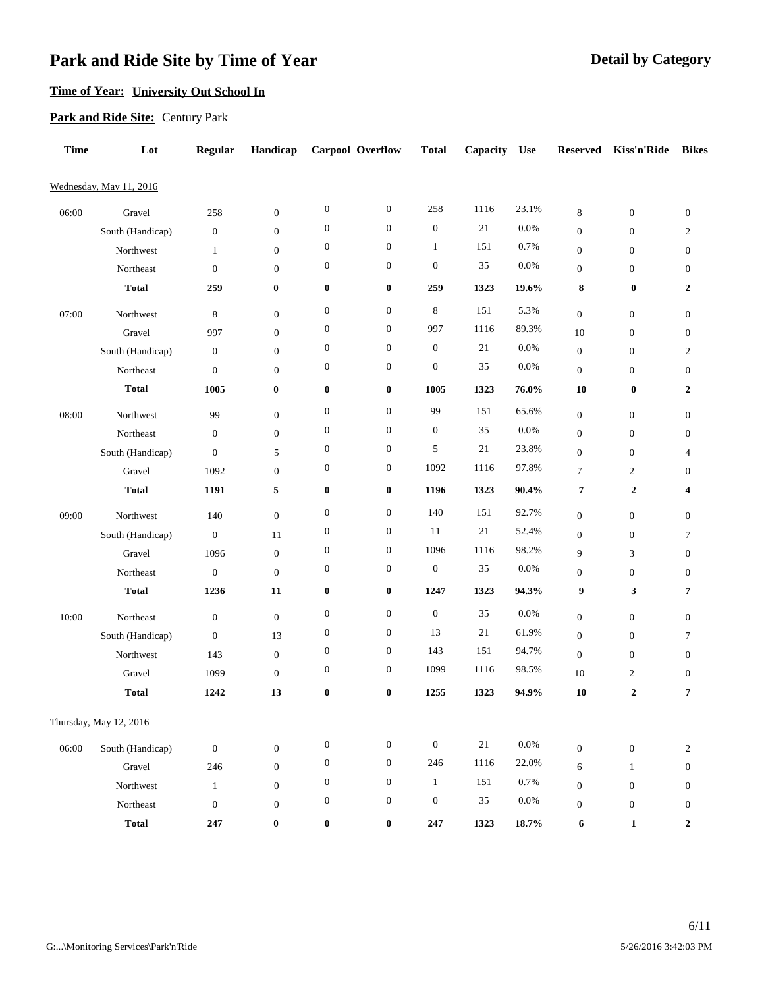## **Time of Year: University Out School In**

### **Park and Ride Site:** Century Park

| <b>Time</b> | Lot                     | <b>Regular</b>   | Handicap         |                  | <b>Carpool Overflow</b> | <b>Total</b>     | Capacity | <b>Use</b> | <b>Reserved</b>  | Kiss'n'Ride      | <b>Bikes</b>     |
|-------------|-------------------------|------------------|------------------|------------------|-------------------------|------------------|----------|------------|------------------|------------------|------------------|
|             | Wednesday, May 11, 2016 |                  |                  |                  |                         |                  |          |            |                  |                  |                  |
| 06:00       | Gravel                  | 258              | $\mathbf{0}$     | $\boldsymbol{0}$ | $\boldsymbol{0}$        | 258              | 1116     | 23.1%      | $\,8\,$          | $\boldsymbol{0}$ | $\boldsymbol{0}$ |
|             | South (Handicap)        | $\boldsymbol{0}$ | $\boldsymbol{0}$ | $\boldsymbol{0}$ | $\mathbf{0}$            | $\boldsymbol{0}$ | 21       | 0.0%       | $\boldsymbol{0}$ | $\boldsymbol{0}$ | $\overline{c}$   |
|             | Northwest               | 1                | $\mathbf{0}$     | $\boldsymbol{0}$ | $\boldsymbol{0}$        | $\mathbf{1}$     | 151      | 0.7%       | $\boldsymbol{0}$ | $\boldsymbol{0}$ | $\boldsymbol{0}$ |
|             | Northeast               | $\mathbf{0}$     | $\boldsymbol{0}$ | $\boldsymbol{0}$ | $\boldsymbol{0}$        | $\boldsymbol{0}$ | 35       | 0.0%       | $\boldsymbol{0}$ | 0                | 0                |
|             | <b>Total</b>            | 259              | $\bf{0}$         | $\boldsymbol{0}$ | $\bf{0}$                | 259              | 1323     | 19.6%      | 8                | $\bf{0}$         | 2                |
| 07:00       | Northwest               | 8                | $\mathbf{0}$     | $\boldsymbol{0}$ | $\boldsymbol{0}$        | $\,$ 8 $\,$      | 151      | 5.3%       | $\boldsymbol{0}$ | $\mathbf{0}$     | $\boldsymbol{0}$ |
|             | Gravel                  | 997              | $\boldsymbol{0}$ | $\boldsymbol{0}$ | $\boldsymbol{0}$        | 997              | 1116     | 89.3%      | 10               | $\boldsymbol{0}$ | 0                |
|             | South (Handicap)        | $\mathbf{0}$     | $\boldsymbol{0}$ | $\boldsymbol{0}$ | $\mathbf{0}$            | $\boldsymbol{0}$ | 21       | 0.0%       | $\boldsymbol{0}$ | $\mathbf{0}$     | $\overline{c}$   |
|             | Northeast               | $\mathbf{0}$     | $\boldsymbol{0}$ | $\boldsymbol{0}$ | $\boldsymbol{0}$        | $\boldsymbol{0}$ | 35       | 0.0%       | $\boldsymbol{0}$ | 0                | $\boldsymbol{0}$ |
|             | <b>Total</b>            | 1005             | $\bf{0}$         | $\boldsymbol{0}$ | $\bf{0}$                | 1005             | 1323     | 76.0%      | 10               | $\bf{0}$         | 2                |
|             |                         |                  |                  | $\boldsymbol{0}$ | $\boldsymbol{0}$        | 99               | 151      | 65.6%      |                  |                  |                  |
| 08:00       | Northwest               | 99               | $\mathbf{0}$     | $\boldsymbol{0}$ | $\boldsymbol{0}$        | $\boldsymbol{0}$ | 35       | 0.0%       | $\boldsymbol{0}$ | $\mathbf{0}$     | $\boldsymbol{0}$ |
|             | Northeast               | $\boldsymbol{0}$ | $\mathbf{0}$     | $\boldsymbol{0}$ | $\boldsymbol{0}$        | 5                | 21       | 23.8%      | $\boldsymbol{0}$ | $\mathbf{0}$     | 0                |
|             | South (Handicap)        | $\boldsymbol{0}$ | 5                | $\boldsymbol{0}$ |                         | 1092             | 1116     | 97.8%      | $\boldsymbol{0}$ | $\boldsymbol{0}$ | 4                |
|             | Gravel                  | 1092             | $\boldsymbol{0}$ |                  | $\boldsymbol{0}$        |                  |          |            | $\tau$           | $\overline{c}$   | $\boldsymbol{0}$ |
|             | <b>Total</b>            | 1191             | 5                | $\boldsymbol{0}$ | $\boldsymbol{0}$        | 1196             | 1323     | 90.4%      | 7                | 2                | 4                |
| 09:00       | Northwest               | 140              | $\mathbf{0}$     | $\mathbf{0}$     | $\mathbf{0}$            | 140              | 151      | 92.7%      | $\boldsymbol{0}$ | $\mathbf{0}$     | $\boldsymbol{0}$ |
|             | South (Handicap)        | $\mathbf{0}$     | 11               | $\boldsymbol{0}$ | $\boldsymbol{0}$        | 11               | 21       | 52.4%      | $\boldsymbol{0}$ | $\mathbf{0}$     | 7                |
|             | Gravel                  | 1096             | $\boldsymbol{0}$ | $\boldsymbol{0}$ | $\boldsymbol{0}$        | 1096             | 1116     | 98.2%      | 9                | 3                | $\boldsymbol{0}$ |
|             | Northeast               | $\boldsymbol{0}$ | $\mathbf{0}$     | $\boldsymbol{0}$ | $\boldsymbol{0}$        | $\boldsymbol{0}$ | 35       | 0.0%       | $\boldsymbol{0}$ | $\boldsymbol{0}$ | 0                |
|             | <b>Total</b>            | 1236             | 11               | $\bf{0}$         | $\bf{0}$                | 1247             | 1323     | 94.3%      | 9                | 3                | 7                |
| 10:00       | Northeast               | $\boldsymbol{0}$ | $\mathbf{0}$     | $\boldsymbol{0}$ | $\boldsymbol{0}$        | $\boldsymbol{0}$ | 35       | 0.0%       | $\boldsymbol{0}$ | $\mathbf{0}$     | $\boldsymbol{0}$ |
|             | South (Handicap)        | $\boldsymbol{0}$ | 13               | $\boldsymbol{0}$ | $\boldsymbol{0}$        | 13               | 21       | 61.9%      | $\boldsymbol{0}$ | $\mathbf{0}$     | 7                |
|             | Northwest               | 143              | $\boldsymbol{0}$ | $\boldsymbol{0}$ | $\boldsymbol{0}$        | 143              | 151      | 94.7%      | $\boldsymbol{0}$ | $\boldsymbol{0}$ | 0                |
|             | Gravel                  | 1099             | $\mathbf{0}$     | $\boldsymbol{0}$ | $\boldsymbol{0}$        | 1099             | 1116     | 98.5%      | 10               | $\overline{c}$   | 0                |
|             | <b>Total</b>            | 1242             | 13               | $\bf{0}$         | $\bf{0}$                | 1255             | 1323     | 94.9%      | 10               | 2                | 7                |
|             |                         |                  |                  |                  |                         |                  |          |            |                  |                  |                  |
|             | Thursday, May 12, 2016  |                  |                  |                  |                         |                  |          |            |                  |                  |                  |
| 06:00       | South (Handicap)        | $\boldsymbol{0}$ | $\boldsymbol{0}$ | $\boldsymbol{0}$ | $\boldsymbol{0}$        | $\boldsymbol{0}$ | 21       | $0.0\%$    | $\boldsymbol{0}$ | $\boldsymbol{0}$ | $\overline{c}$   |
|             | Gravel                  | 246              | $\boldsymbol{0}$ | $\boldsymbol{0}$ | $\boldsymbol{0}$        | 246              | 1116     | 22.0%      | 6                | $\mathbf{1}$     | $\boldsymbol{0}$ |
|             | Northwest               | $\mathbf{1}$     | $\boldsymbol{0}$ | $\boldsymbol{0}$ | $\boldsymbol{0}$        | $\mathbf{1}$     | 151      | 0.7%       | $\boldsymbol{0}$ | $\boldsymbol{0}$ | $\boldsymbol{0}$ |
|             | Northeast               | $\boldsymbol{0}$ | $\boldsymbol{0}$ | $\boldsymbol{0}$ | $\boldsymbol{0}$        | $\boldsymbol{0}$ | 35       | 0.0%       | $\boldsymbol{0}$ | $\boldsymbol{0}$ | $\boldsymbol{0}$ |
|             | <b>Total</b>            | 247              | $\boldsymbol{0}$ | $\boldsymbol{0}$ | $\boldsymbol{0}$        | 247              | 1323     | 18.7%      | 6                | $\mathbf{1}$     | $\boldsymbol{2}$ |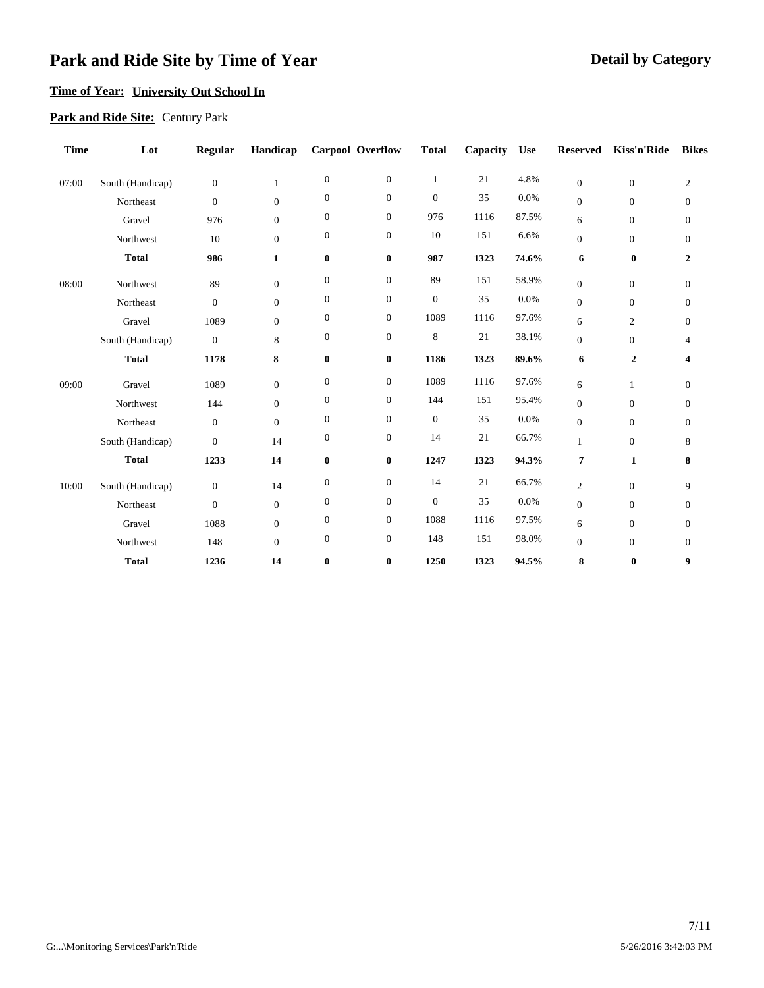### **Time of Year: University Out School In**

### **Park and Ride Site:** Century Park

| <b>Time</b> | Lot              | <b>Regular</b>   | Handicap     |                  | Carpool Overflow | <b>Total</b>   | Capacity | <b>Use</b> | <b>Reserved</b>  | Kiss'n'Ride      | <b>Bikes</b>     |
|-------------|------------------|------------------|--------------|------------------|------------------|----------------|----------|------------|------------------|------------------|------------------|
| 07:00       | South (Handicap) | $\boldsymbol{0}$ | $\mathbf{1}$ | $\boldsymbol{0}$ | $\boldsymbol{0}$ | $\mathbf{1}$   | 21       | 4.8%       | $\overline{0}$   | $\mathbf{0}$     | $\mathfrak{2}$   |
|             | Northeast        | $\boldsymbol{0}$ | $\theta$     | $\boldsymbol{0}$ | $\boldsymbol{0}$ | $\theta$       | 35       | 0.0%       | $\mathbf{0}$     | $\boldsymbol{0}$ | $\boldsymbol{0}$ |
|             | Gravel           | 976              | $\mathbf{0}$ | $\boldsymbol{0}$ | $\boldsymbol{0}$ | 976            | 1116     | 87.5%      | 6                | $\boldsymbol{0}$ | $\boldsymbol{0}$ |
|             | Northwest        | 10               | $\theta$     | $\boldsymbol{0}$ | $\boldsymbol{0}$ | 10             | 151      | 6.6%       | $\mathbf{0}$     | $\mathbf{0}$     | $\boldsymbol{0}$ |
|             | <b>Total</b>     | 986              | $\mathbf{1}$ | $\bf{0}$         | $\bf{0}$         | 987            | 1323     | 74.6%      | 6                | $\bf{0}$         | $\overline{2}$   |
| 08:00       | Northwest        | 89               | $\mathbf{0}$ | $\boldsymbol{0}$ | $\boldsymbol{0}$ | 89             | 151      | 58.9%      | $\overline{0}$   | $\mathbf{0}$     | $\mathbf{0}$     |
|             | Northeast        | $\boldsymbol{0}$ | $\theta$     | $\boldsymbol{0}$ | $\boldsymbol{0}$ | $\mathbf{0}$   | 35       | 0.0%       | $\mathbf{0}$     | $\mathbf{0}$     | $\mathbf{0}$     |
|             | Gravel           | 1089             | $\theta$     | $\boldsymbol{0}$ | $\boldsymbol{0}$ | 1089           | 1116     | 97.6%      | 6                | $\mathbf{2}$     | $\mathbf{0}$     |
|             | South (Handicap) | $\boldsymbol{0}$ | 8            | $\boldsymbol{0}$ | $\boldsymbol{0}$ | 8              | 21       | 38.1%      | $\boldsymbol{0}$ | $\mathbf{0}$     | $\overline{4}$   |
|             | <b>Total</b>     | 1178             | 8            | $\bf{0}$         | $\bf{0}$         | 1186           | 1323     | 89.6%      | 6                | $\boldsymbol{2}$ | 4                |
| 09:00       | Gravel           | 1089             | $\mathbf{0}$ | $\boldsymbol{0}$ | $\boldsymbol{0}$ | 1089           | 1116     | 97.6%      | 6                | $\mathbf{1}$     | $\boldsymbol{0}$ |
|             | Northwest        | 144              | $\theta$     | $\boldsymbol{0}$ | $\boldsymbol{0}$ | 144            | 151      | 95.4%      | $\overline{0}$   | $\mathbf{0}$     | $\boldsymbol{0}$ |
|             | Northeast        | $\mathbf{0}$     | $\mathbf{0}$ | $\boldsymbol{0}$ | $\boldsymbol{0}$ | $\mathbf{0}$   | 35       | 0.0%       | $\boldsymbol{0}$ | $\mathbf{0}$     | $\mathbf{0}$     |
|             | South (Handicap) | $\theta$         | 14           | $\boldsymbol{0}$ | $\boldsymbol{0}$ | 14             | 21       | 66.7%      | 1                | $\mathbf{0}$     | 8                |
|             | <b>Total</b>     | 1233             | 14           | $\bf{0}$         | $\bf{0}$         | 1247           | 1323     | 94.3%      | 7                | $\mathbf{1}$     | 8                |
| 10:00       | South (Handicap) | $\boldsymbol{0}$ | 14           | $\boldsymbol{0}$ | $\boldsymbol{0}$ | 14             | 21       | 66.7%      | $\overline{c}$   | $\mathbf{0}$     | 9                |
|             | Northeast        | $\boldsymbol{0}$ | $\mathbf{0}$ | $\boldsymbol{0}$ | $\boldsymbol{0}$ | $\overline{0}$ | 35       | 0.0%       | $\mathbf{0}$     | $\mathbf{0}$     | $\boldsymbol{0}$ |
|             | Gravel           | 1088             | $\theta$     | $\boldsymbol{0}$ | $\boldsymbol{0}$ | 1088           | 1116     | 97.5%      | 6                | $\boldsymbol{0}$ | $\boldsymbol{0}$ |
|             | Northwest        | 148              | $\theta$     | $\boldsymbol{0}$ | $\boldsymbol{0}$ | 148            | 151      | 98.0%      | $\mathbf{0}$     | $\mathbf{0}$     | $\mathbf{0}$     |
|             | <b>Total</b>     | 1236             | 14           | $\bf{0}$         | $\bf{0}$         | 1250           | 1323     | 94.5%      | 8                | $\bf{0}$         | 9                |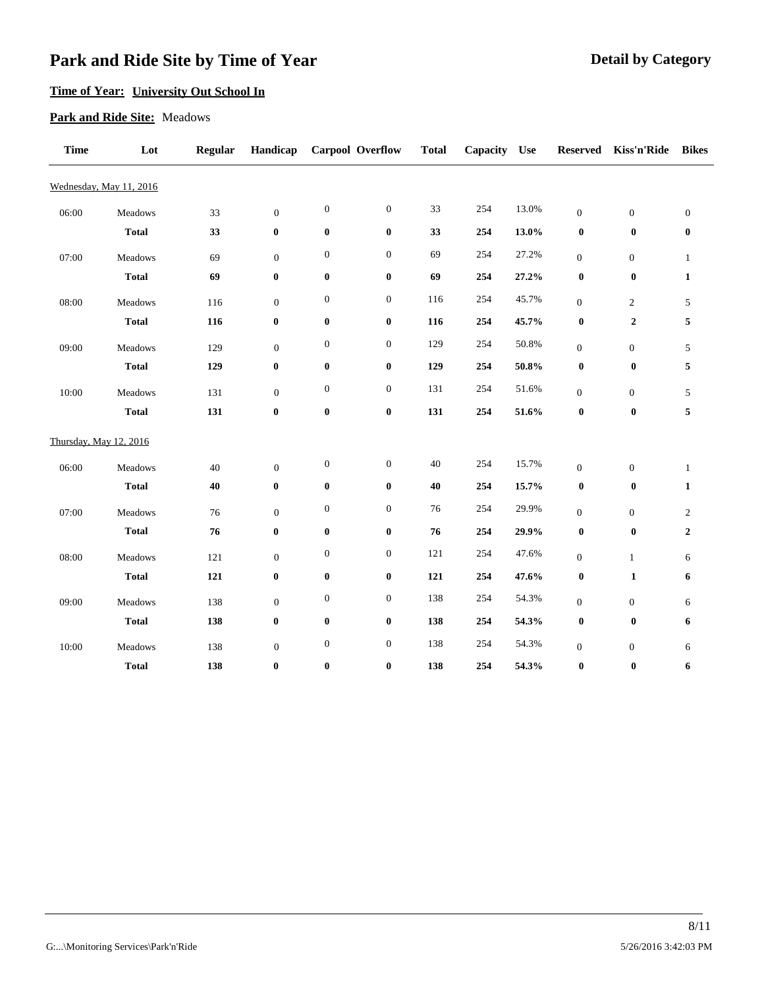### **Time of Year: University Out School In**

#### **Park and Ride Site:** Meadows

| <b>Time</b> | Lot                     | <b>Regular</b> | Handicap         | <b>Carpool Overflow</b> |                  | <b>Total</b> | Capacity | <b>Use</b> | <b>Reserved</b>  | Kiss'n'Ride      | <b>Bikes</b>     |
|-------------|-------------------------|----------------|------------------|-------------------------|------------------|--------------|----------|------------|------------------|------------------|------------------|
|             | Wednesday, May 11, 2016 |                |                  |                         |                  |              |          |            |                  |                  |                  |
| 06:00       | Meadows                 | 33             | $\boldsymbol{0}$ | $\boldsymbol{0}$        | $\boldsymbol{0}$ | 33           | 254      | 13.0%      | $\boldsymbol{0}$ | $\boldsymbol{0}$ | $\boldsymbol{0}$ |
|             | <b>Total</b>            | 33             | $\boldsymbol{0}$ | $\pmb{0}$               | $\bf{0}$         | 33           | 254      | 13.0%      | $\bf{0}$         | $\boldsymbol{0}$ | $\pmb{0}$        |
| 07:00       | Meadows                 | 69             | $\boldsymbol{0}$ | $\boldsymbol{0}$        | $\boldsymbol{0}$ | 69           | 254      | 27.2%      | $\boldsymbol{0}$ | $\boldsymbol{0}$ | $\mathbf{1}$     |
|             | <b>Total</b>            | 69             | $\bf{0}$         | $\pmb{0}$               | $\bf{0}$         | 69           | 254      | 27.2%      | $\bf{0}$         | $\boldsymbol{0}$ | $\mathbf{1}$     |
| 08:00       | Meadows                 | 116            | $\boldsymbol{0}$ | $\boldsymbol{0}$        | $\boldsymbol{0}$ | 116          | 254      | 45.7%      | $\boldsymbol{0}$ | $\overline{c}$   | $\sqrt{5}$       |
|             | <b>Total</b>            | 116            | $\pmb{0}$        | $\pmb{0}$               | $\bf{0}$         | 116          | 254      | 45.7%      | $\pmb{0}$        | $\boldsymbol{2}$ | $\sqrt{5}$       |
| 09:00       | Meadows                 | 129            | $\boldsymbol{0}$ | $\boldsymbol{0}$        | $\boldsymbol{0}$ | 129          | 254      | 50.8%      | $\boldsymbol{0}$ | $\boldsymbol{0}$ | $\sqrt{5}$       |
|             | <b>Total</b>            | 129            | $\boldsymbol{0}$ | $\pmb{0}$               | $\bf{0}$         | 129          | 254      | 50.8%      | $\pmb{0}$        | $\boldsymbol{0}$ | $\sqrt{5}$       |
| 10:00       | Meadows                 | 131            | $\boldsymbol{0}$ | $\boldsymbol{0}$        | $\boldsymbol{0}$ | 131          | 254      | 51.6%      | $\boldsymbol{0}$ | $\boldsymbol{0}$ | 5                |
|             | <b>Total</b>            | 131            | $\bf{0}$         | $\pmb{0}$               | $\bf{0}$         | 131          | 254      | 51.6%      | $\pmb{0}$        | $\pmb{0}$        | $\sqrt{5}$       |
|             | Thursday, May 12, 2016  |                |                  |                         |                  |              |          |            |                  |                  |                  |
| 06:00       | Meadows                 | $40\,$         | $\boldsymbol{0}$ | $\boldsymbol{0}$        | $\boldsymbol{0}$ | 40           | 254      | 15.7%      | $\mathbf{0}$     | $\boldsymbol{0}$ | $\mathbf{1}$     |
|             | <b>Total</b>            | 40             | $\boldsymbol{0}$ | $\pmb{0}$               | $\bf{0}$         | 40           | 254      | 15.7%      | $\bf{0}$         | $\boldsymbol{0}$ | $\mathbf{1}$     |
| 07:00       | Meadows                 | 76             | $\boldsymbol{0}$ | $\boldsymbol{0}$        | $\boldsymbol{0}$ | 76           | 254      | 29.9%      | $\boldsymbol{0}$ | $\boldsymbol{0}$ | $\boldsymbol{2}$ |
|             | <b>Total</b>            | 76             | $\bf{0}$         | $\pmb{0}$               | $\boldsymbol{0}$ | 76           | 254      | 29.9%      | $\bf{0}$         | $\boldsymbol{0}$ | $\boldsymbol{2}$ |
| 08:00       | Meadows                 | 121            | $\boldsymbol{0}$ | $\boldsymbol{0}$        | $\boldsymbol{0}$ | 121          | 254      | 47.6%      | $\boldsymbol{0}$ | $\mathbf{1}$     | $\sqrt{6}$       |
|             | <b>Total</b>            | 121            | $\boldsymbol{0}$ | $\pmb{0}$               | $\bf{0}$         | 121          | 254      | 47.6%      | $\bf{0}$         | $\mathbf{1}$     | 6                |
| 09:00       | Meadows                 | 138            | $\boldsymbol{0}$ | $\boldsymbol{0}$        | $\boldsymbol{0}$ | 138          | 254      | 54.3%      | $\boldsymbol{0}$ | $\boldsymbol{0}$ | 6                |
|             | <b>Total</b>            | 138            | $\bf{0}$         | $\pmb{0}$               | $\bf{0}$         | 138          | 254      | 54.3%      | $\bf{0}$         | $\boldsymbol{0}$ | 6                |
| 10:00       | Meadows                 | 138            | $\boldsymbol{0}$ | $\boldsymbol{0}$        | $\boldsymbol{0}$ | 138          | 254      | 54.3%      | $\boldsymbol{0}$ | $\boldsymbol{0}$ | 6                |
|             | <b>Total</b>            | 138            | $\bf{0}$         | $\bf{0}$                | $\bf{0}$         | 138          | 254      | 54.3%      | $\boldsymbol{0}$ | $\boldsymbol{0}$ | 6                |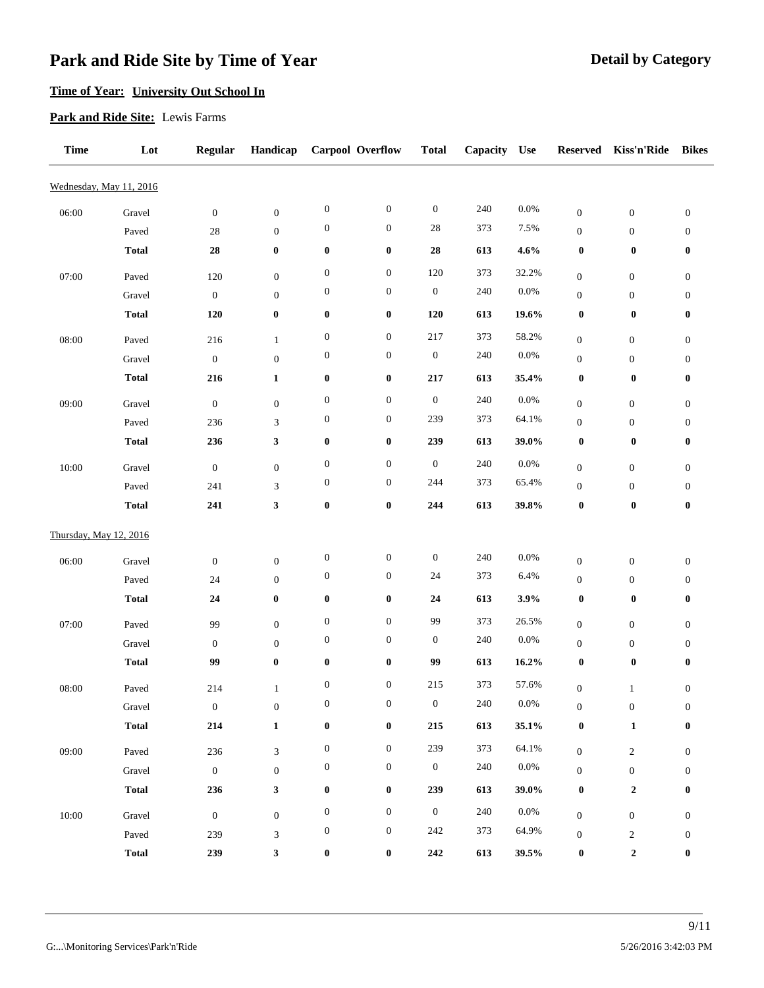## **Time of Year: University Out School In**

#### **Park and Ride Site:** Lewis Farms

| <b>Time</b>            | Lot                     | <b>Regular</b>          | Handicap                       |                  | Carpool Overflow | <b>Total</b>     | Capacity | Use      | <b>Reserved</b>                      | Kiss'n'Ride                          | <b>Bikes</b>                         |
|------------------------|-------------------------|-------------------------|--------------------------------|------------------|------------------|------------------|----------|----------|--------------------------------------|--------------------------------------|--------------------------------------|
|                        | Wednesday, May 11, 2016 |                         |                                |                  |                  |                  |          |          |                                      |                                      |                                      |
| 06:00                  | Gravel                  | $\boldsymbol{0}$        | $\boldsymbol{0}$               | $\boldsymbol{0}$ | $\boldsymbol{0}$ | $\boldsymbol{0}$ | 240      | $0.0\%$  | $\boldsymbol{0}$                     | $\boldsymbol{0}$                     | $\boldsymbol{0}$                     |
|                        | Paved                   | $28\,$                  | $\boldsymbol{0}$               | $\boldsymbol{0}$ | $\boldsymbol{0}$ | $28\,$           | 373      | 7.5%     | $\boldsymbol{0}$                     | $\boldsymbol{0}$                     | $\boldsymbol{0}$                     |
|                        | <b>Total</b>            | ${\bf 28}$              | $\bf{0}$                       | $\boldsymbol{0}$ | $\pmb{0}$        | ${\bf 28}$       | 613      | 4.6%     | $\boldsymbol{0}$                     | $\boldsymbol{0}$                     | $\boldsymbol{0}$                     |
| 07:00                  | Paved                   | 120                     | $\boldsymbol{0}$               | $\boldsymbol{0}$ | $\boldsymbol{0}$ | 120              | 373      | 32.2%    | $\boldsymbol{0}$                     | $\boldsymbol{0}$                     | $\boldsymbol{0}$                     |
|                        | Gravel                  | $\boldsymbol{0}$        | $\boldsymbol{0}$               | $\boldsymbol{0}$ | $\boldsymbol{0}$ | $\boldsymbol{0}$ | 240      | 0.0%     | $\boldsymbol{0}$                     | $\boldsymbol{0}$                     | $\boldsymbol{0}$                     |
|                        | <b>Total</b>            | 120                     | $\bf{0}$                       | $\boldsymbol{0}$ | $\pmb{0}$        | 120              | 613      | 19.6%    | $\boldsymbol{0}$                     | $\boldsymbol{0}$                     | $\boldsymbol{0}$                     |
| 08:00                  | Paved                   | 216                     | $\mathbf{1}$                   | $\boldsymbol{0}$ | $\boldsymbol{0}$ | 217              | 373      | 58.2%    | $\boldsymbol{0}$                     | $\boldsymbol{0}$                     | $\boldsymbol{0}$                     |
|                        | Gravel                  | $\boldsymbol{0}$        | $\boldsymbol{0}$               | $\boldsymbol{0}$ | $\boldsymbol{0}$ | $\boldsymbol{0}$ | 240      | $0.0\%$  | $\boldsymbol{0}$                     | $\boldsymbol{0}$                     | $\boldsymbol{0}$                     |
|                        | <b>Total</b>            | 216                     | $\mathbf{1}$                   | $\boldsymbol{0}$ | $\pmb{0}$        | $\bf 217$        | 613      | 35.4%    | $\boldsymbol{0}$                     | $\pmb{0}$                            | $\boldsymbol{0}$                     |
|                        |                         |                         |                                | $\boldsymbol{0}$ | $\boldsymbol{0}$ | $\boldsymbol{0}$ | 240      | $0.0\%$  |                                      |                                      |                                      |
| 09:00                  | Gravel<br>Paved         | $\boldsymbol{0}$<br>236 | $\boldsymbol{0}$<br>3          | $\boldsymbol{0}$ | $\boldsymbol{0}$ | 239              | 373      | 64.1%    | $\boldsymbol{0}$<br>$\boldsymbol{0}$ | $\boldsymbol{0}$<br>$\boldsymbol{0}$ | $\boldsymbol{0}$<br>$\boldsymbol{0}$ |
|                        | <b>Total</b>            | 236                     | $\mathbf{3}$                   | $\bf{0}$         | $\pmb{0}$        | 239              | 613      | 39.0%    | $\boldsymbol{0}$                     | $\boldsymbol{0}$                     | $\boldsymbol{0}$                     |
|                        |                         |                         |                                | $\boldsymbol{0}$ | $\boldsymbol{0}$ | $\boldsymbol{0}$ | 240      | $0.0\%$  |                                      |                                      |                                      |
| 10:00                  | Gravel                  | $\boldsymbol{0}$<br>241 | $\boldsymbol{0}$               | $\boldsymbol{0}$ | $\boldsymbol{0}$ | 244              | 373      | 65.4%    | $\boldsymbol{0}$                     | $\boldsymbol{0}$                     | $\boldsymbol{0}$                     |
|                        | Paved<br><b>Total</b>   | 241                     | $\mathfrak{Z}$<br>$\mathbf{3}$ | $\boldsymbol{0}$ | $\pmb{0}$        | ${\bf 244}$      | 613      | 39.8%    | $\boldsymbol{0}$<br>$\pmb{0}$        | $\boldsymbol{0}$<br>$\pmb{0}$        | $\boldsymbol{0}$<br>$\boldsymbol{0}$ |
|                        |                         |                         |                                |                  |                  |                  |          |          |                                      |                                      |                                      |
| Thursday, May 12, 2016 |                         |                         |                                |                  |                  |                  |          |          |                                      |                                      |                                      |
| 06:00                  | Gravel                  | $\boldsymbol{0}$        | $\boldsymbol{0}$               | $\boldsymbol{0}$ | $\boldsymbol{0}$ | $\boldsymbol{0}$ | 240      | $0.0\%$  | $\boldsymbol{0}$                     | $\boldsymbol{0}$                     | $\boldsymbol{0}$                     |
|                        | Paved                   | 24                      | $\boldsymbol{0}$               | $\boldsymbol{0}$ | $\boldsymbol{0}$ | 24               | 373      | 6.4%     | $\boldsymbol{0}$                     | $\boldsymbol{0}$                     | $\boldsymbol{0}$                     |
|                        | <b>Total</b>            | 24                      | $\bf{0}$                       | $\bf{0}$         | $\pmb{0}$        | 24               | 613      | 3.9%     | $\boldsymbol{0}$                     | $\boldsymbol{0}$                     | $\boldsymbol{0}$                     |
| 07:00                  | Paved                   | 99                      | $\boldsymbol{0}$               | $\boldsymbol{0}$ | $\boldsymbol{0}$ | 99               | 373      | 26.5%    | $\boldsymbol{0}$                     | $\boldsymbol{0}$                     | $\boldsymbol{0}$                     |
|                        | Gravel                  | $\boldsymbol{0}$        | $\boldsymbol{0}$               | $\boldsymbol{0}$ | $\boldsymbol{0}$ | $\boldsymbol{0}$ | 240      | $0.0\%$  | $\boldsymbol{0}$                     | $\boldsymbol{0}$                     | $\boldsymbol{0}$                     |
|                        | <b>Total</b>            | 99                      | $\bf{0}$                       | $\bf{0}$         | $\pmb{0}$        | 99               | 613      | 16.2%    | $\boldsymbol{0}$                     | $\pmb{0}$                            | $\boldsymbol{0}$                     |
| 08:00                  | Paved                   | 214                     | $\mathbf{1}$                   | $\boldsymbol{0}$ | $\boldsymbol{0}$ | 215              | 373      | 57.6%    | $\boldsymbol{0}$                     | $\mathbf{1}$                         | $\boldsymbol{0}$                     |
|                        | Gravel                  | $\boldsymbol{0}$        | $\boldsymbol{0}$               | $\boldsymbol{0}$ | $\boldsymbol{0}$ | $\bf{0}$         | 240      | $0.0\%$  | $\boldsymbol{0}$                     | $\boldsymbol{0}$                     | $\boldsymbol{0}$                     |
|                        | <b>Total</b>            | 214                     | $\mathbf 1$                    | $\boldsymbol{0}$ | $\pmb{0}$        | 215              | 613      | 35.1%    | $\boldsymbol{0}$                     | $\mathbf 1$                          | $\boldsymbol{0}$                     |
| 09:00                  | Paved                   | 236                     | $\mathfrak{Z}$                 | $\boldsymbol{0}$ | $\boldsymbol{0}$ | 239              | 373      | 64.1%    | $\boldsymbol{0}$                     | $\sqrt{2}$                           | $\boldsymbol{0}$                     |
|                        | Gravel                  | $\boldsymbol{0}$        | $\boldsymbol{0}$               | $\boldsymbol{0}$ | $\boldsymbol{0}$ | $\boldsymbol{0}$ | 240      | $0.0\%$  | $\boldsymbol{0}$                     | $\boldsymbol{0}$                     | $\boldsymbol{0}$                     |
|                        | <b>Total</b>            | 236                     | $\mathbf{3}$                   | $\boldsymbol{0}$ | $\pmb{0}$        | 239              | 613      | $39.0\%$ | $\boldsymbol{0}$                     | $\boldsymbol{2}$                     | $\boldsymbol{0}$                     |
| 10:00                  | Gravel                  | $\boldsymbol{0}$        | $\boldsymbol{0}$               | $\boldsymbol{0}$ | $\boldsymbol{0}$ | $\boldsymbol{0}$ | 240      | $0.0\%$  |                                      |                                      |                                      |
|                        | Paved                   | 239                     | $\mathfrak{Z}$                 | $\boldsymbol{0}$ | $\boldsymbol{0}$ | $242\,$          | 373      | 64.9%    | $\boldsymbol{0}$<br>$\boldsymbol{0}$ | $\boldsymbol{0}$<br>$\boldsymbol{2}$ | $\boldsymbol{0}$<br>$\boldsymbol{0}$ |
|                        | <b>Total</b>            | 239                     | $\mathbf{3}$                   | $\boldsymbol{0}$ | $\pmb{0}$        | ${\bf 242}$      | 613      | 39.5%    | $\boldsymbol{0}$                     | $\boldsymbol{2}$                     | $\boldsymbol{0}$                     |
|                        |                         |                         |                                |                  |                  |                  |          |          |                                      |                                      |                                      |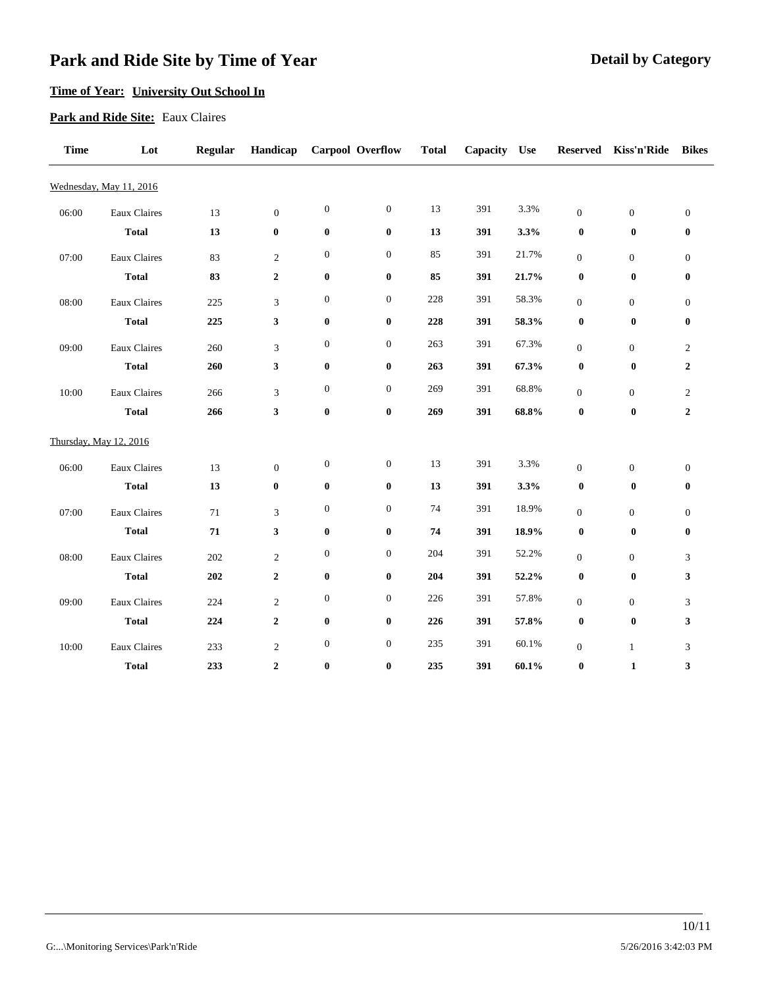### **Time of Year: University Out School In**

#### **Park and Ride Site:** Eaux Claires

| <b>Time</b> | Lot                     | <b>Regular</b> | Handicap         |                  | Carpool Overflow | <b>Total</b> | Capacity | <b>Use</b> | <b>Reserved</b>  | Kiss'n'Ride      | <b>Bikes</b>     |
|-------------|-------------------------|----------------|------------------|------------------|------------------|--------------|----------|------------|------------------|------------------|------------------|
|             | Wednesday, May 11, 2016 |                |                  |                  |                  |              |          |            |                  |                  |                  |
| 06:00       | Eaux Claires            | 13             | $\boldsymbol{0}$ | $\boldsymbol{0}$ | $\boldsymbol{0}$ | 13           | 391      | 3.3%       | $\mathbf{0}$     | $\boldsymbol{0}$ | $\boldsymbol{0}$ |
|             | <b>Total</b>            | 13             | $\bf{0}$         | $\pmb{0}$        | $\bf{0}$         | 13           | 391      | 3.3%       | $\boldsymbol{0}$ | $\boldsymbol{0}$ | $\boldsymbol{0}$ |
| 07:00       | Eaux Claires            | 83             | $\sqrt{2}$       | $\boldsymbol{0}$ | $\boldsymbol{0}$ | 85           | 391      | 21.7%      | $\mathbf{0}$     | $\boldsymbol{0}$ | $\boldsymbol{0}$ |
|             | <b>Total</b>            | 83             | $\boldsymbol{2}$ | $\bf{0}$         | $\bf{0}$         | 85           | 391      | 21.7%      | $\bf{0}$         | $\boldsymbol{0}$ | $\boldsymbol{0}$ |
| 08:00       | Eaux Claires            | 225            | 3                | $\boldsymbol{0}$ | $\boldsymbol{0}$ | 228          | 391      | 58.3%      | $\boldsymbol{0}$ | $\boldsymbol{0}$ | $\boldsymbol{0}$ |
|             | <b>Total</b>            | 225            | 3                | $\pmb{0}$        | $\bf{0}$         | 228          | 391      | 58.3%      | $\boldsymbol{0}$ | $\boldsymbol{0}$ | $\boldsymbol{0}$ |
| 09:00       | Eaux Claires            | 260            | 3                | $\boldsymbol{0}$ | $\boldsymbol{0}$ | 263          | 391      | 67.3%      | $\mathbf{0}$     | $\boldsymbol{0}$ | $\boldsymbol{2}$ |
|             | <b>Total</b>            | 260            | 3                | $\pmb{0}$        | $\pmb{0}$        | 263          | 391      | 67.3%      | $\pmb{0}$        | $\boldsymbol{0}$ | $\boldsymbol{2}$ |
| 10:00       | Eaux Claires            | 266            | 3                | $\boldsymbol{0}$ | $\boldsymbol{0}$ | 269          | 391      | 68.8%      | $\mathbf{0}$     | $\boldsymbol{0}$ | $\overline{c}$   |
|             | <b>Total</b>            | 266            | 3                | $\bf{0}$         | $\bf{0}$         | 269          | 391      | 68.8%      | $\pmb{0}$        | $\bf{0}$         | $\boldsymbol{2}$ |
|             |                         |                |                  |                  |                  |              |          |            |                  |                  |                  |
|             | Thursday, May 12, 2016  |                |                  |                  |                  |              |          |            |                  |                  |                  |
| 06:00       | Eaux Claires            | 13             | $\boldsymbol{0}$ | $\boldsymbol{0}$ | $\boldsymbol{0}$ | 13           | 391      | 3.3%       | $\mathbf{0}$     | $\boldsymbol{0}$ | $\boldsymbol{0}$ |
|             | <b>Total</b>            | 13             | $\bf{0}$         | $\pmb{0}$        | $\pmb{0}$        | 13           | 391      | 3.3%       | $\boldsymbol{0}$ | $\boldsymbol{0}$ | $\boldsymbol{0}$ |
| 07:00       | Eaux Claires            | 71             | 3                | $\boldsymbol{0}$ | $\boldsymbol{0}$ | 74           | 391      | 18.9%      | $\mathbf{0}$     | $\boldsymbol{0}$ | $\mathbf{0}$     |
|             | <b>Total</b>            | 71             | 3                | $\pmb{0}$        | $\pmb{0}$        | 74           | 391      | 18.9%      | $\boldsymbol{0}$ | $\boldsymbol{0}$ | $\pmb{0}$        |
| 08:00       | Eaux Claires            | 202            | $\sqrt{2}$       | $\boldsymbol{0}$ | $\boldsymbol{0}$ | 204          | 391      | 52.2%      | $\mathbf{0}$     | $\boldsymbol{0}$ | $\mathfrak{Z}$   |
|             | <b>Total</b>            | 202            | $\boldsymbol{2}$ | $\bf{0}$         | $\bf{0}$         | 204          | 391      | 52.2%      | $\bf{0}$         | $\boldsymbol{0}$ | 3                |
| 09:00       | Eaux Claires            | 224            | $\overline{c}$   | $\boldsymbol{0}$ | $\boldsymbol{0}$ | 226          | 391      | 57.8%      | $\mathbf{0}$     | $\boldsymbol{0}$ | $\mathfrak{Z}$   |
|             | <b>Total</b>            | 224            | $\boldsymbol{2}$ | $\bf{0}$         | $\bf{0}$         | 226          | 391      | 57.8%      | $\boldsymbol{0}$ | $\boldsymbol{0}$ | 3                |
| 10:00       | Eaux Claires            | 233            | $\boldsymbol{2}$ | $\boldsymbol{0}$ | $\boldsymbol{0}$ | 235          | 391      | 60.1%      | $\mathbf{0}$     | $\mathbf{1}$     | 3                |
|             | <b>Total</b>            | 233            | $\boldsymbol{2}$ | $\bf{0}$         | $\bf{0}$         | 235          | 391      | 60.1%      | $\pmb{0}$        | $\mathbf{1}$     | 3                |